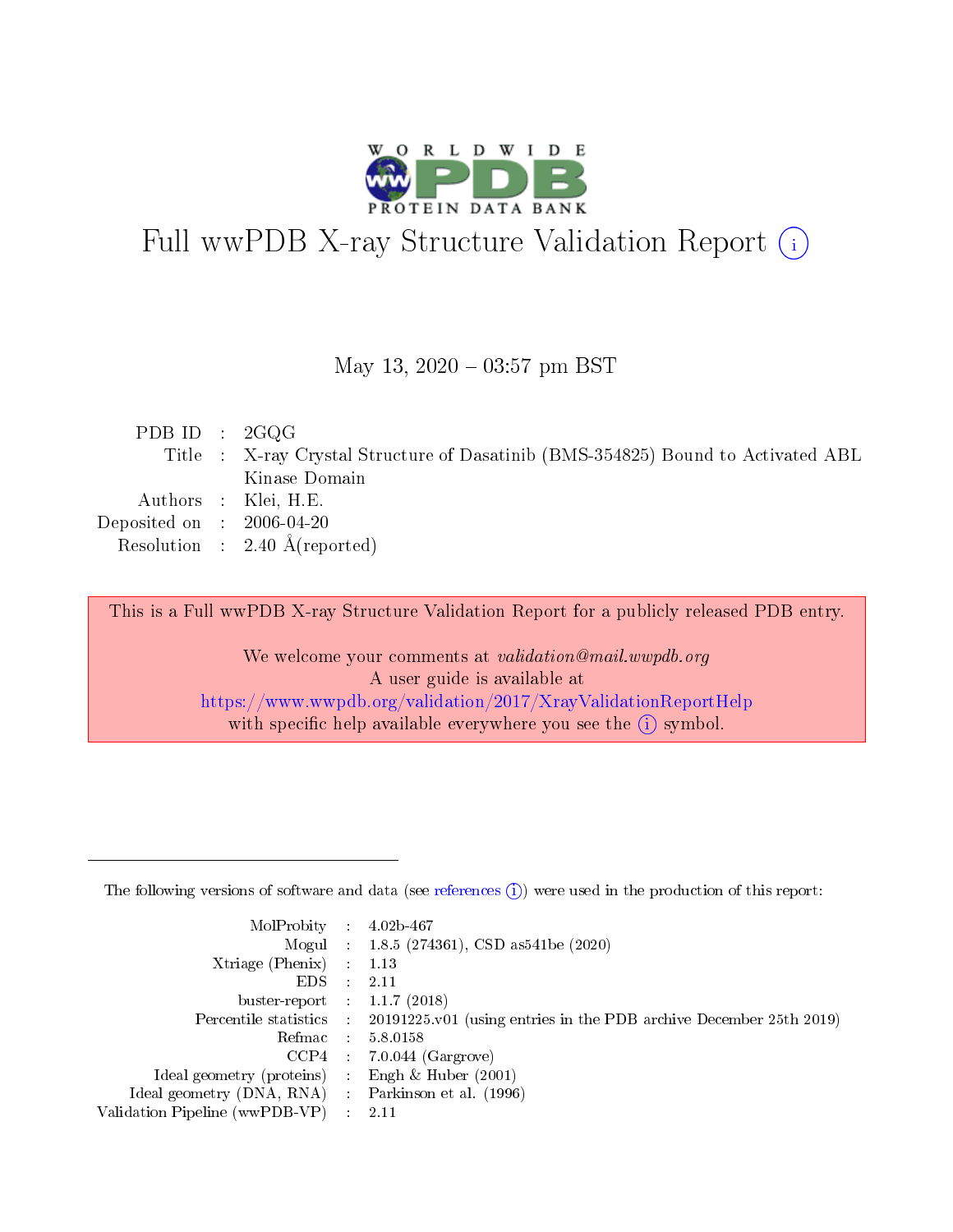

# Full wwPDB X-ray Structure Validation Report (i)

#### May 13,  $2020 - 03:57$  pm BST

| PDB ID : $2GQG$             |                                                                                  |
|-----------------------------|----------------------------------------------------------------------------------|
|                             | Title : X-ray Crystal Structure of Dasatinib (BMS-354825) Bound to Activated ABL |
|                             | Kinase Domain                                                                    |
|                             | Authors : Klei, H.E.                                                             |
| Deposited on : $2006-04-20$ |                                                                                  |
|                             | Resolution : $2.40 \text{ Å}$ (reported)                                         |
|                             |                                                                                  |

This is a Full wwPDB X-ray Structure Validation Report for a publicly released PDB entry.

We welcome your comments at validation@mail.wwpdb.org A user guide is available at <https://www.wwpdb.org/validation/2017/XrayValidationReportHelp> with specific help available everywhere you see the  $(i)$  symbol.

The following versions of software and data (see [references](https://www.wwpdb.org/validation/2017/XrayValidationReportHelp#references)  $(1)$ ) were used in the production of this report:

| MolProbity :                   |   | $4.02b - 467$                                                                              |
|--------------------------------|---|--------------------------------------------------------------------------------------------|
|                                |   | Mogul : 1.8.5 (274361), CSD as 541be (2020)                                                |
| $X$ triage (Phenix) :          |   | 1.13                                                                                       |
| EDS.                           |   | 2.11                                                                                       |
| buster-report : $1.1.7(2018)$  |   |                                                                                            |
|                                |   | Percentile statistics : 20191225.v01 (using entries in the PDB archive December 25th 2019) |
| Refmac                         |   | 5.8.0158                                                                                   |
| CCP4                           |   | $7.0.044$ (Gargrove)                                                                       |
| Ideal geometry (proteins) :    |   | Engh $\&$ Huber (2001)                                                                     |
| Ideal geometry (DNA, RNA) :    |   | Parkinson et al. (1996)                                                                    |
| Validation Pipeline (wwPDB-VP) | ÷ | 2.11                                                                                       |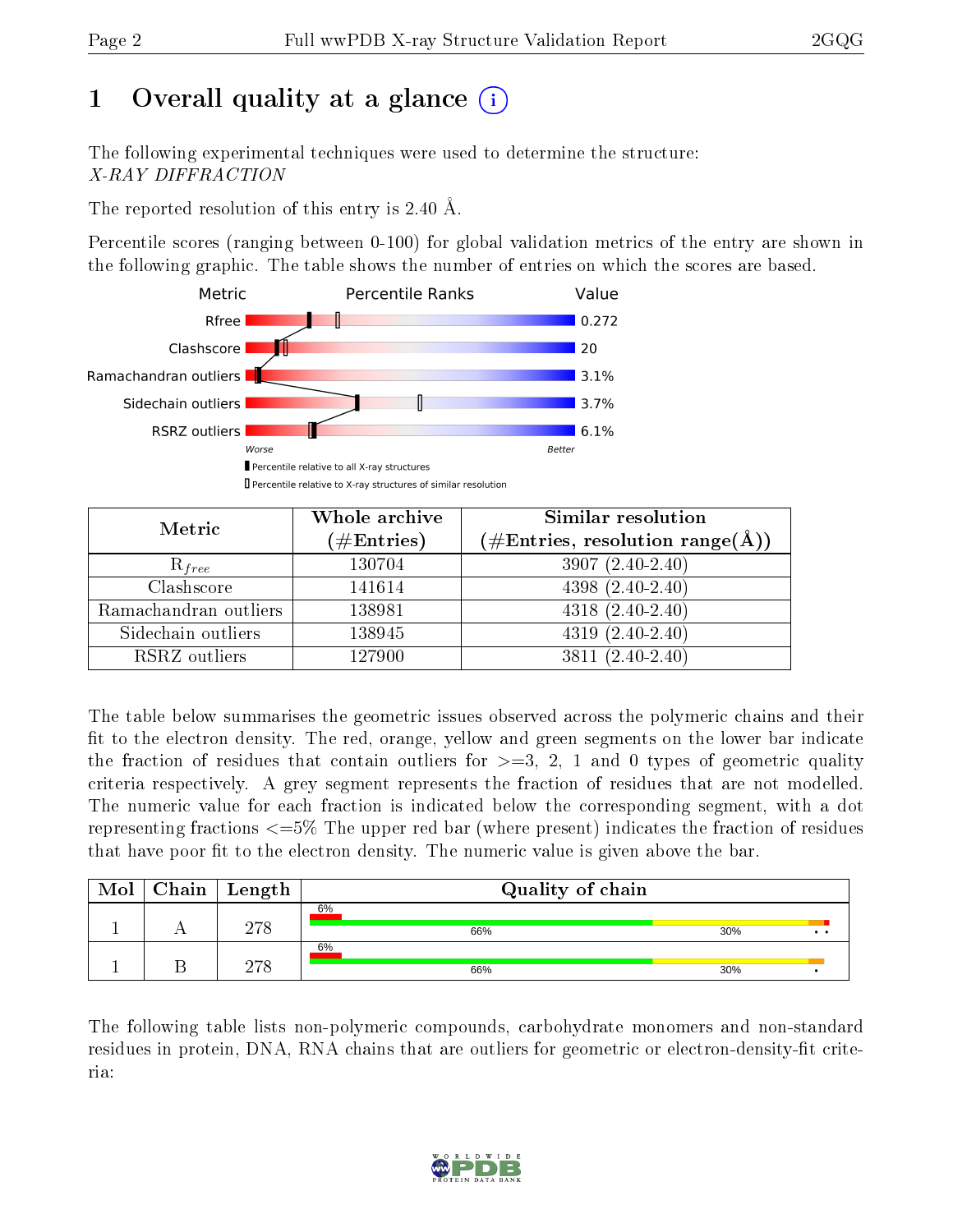# 1 [O](https://www.wwpdb.org/validation/2017/XrayValidationReportHelp#overall_quality)verall quality at a glance  $(i)$

The following experimental techniques were used to determine the structure: X-RAY DIFFRACTION

The reported resolution of this entry is 2.40 Å.

Percentile scores (ranging between 0-100) for global validation metrics of the entry are shown in the following graphic. The table shows the number of entries on which the scores are based.



| Metric                | Whole archive<br>$(\#\text{Entries})$ | Similar resolution<br>$(\#\text{Entries},\,\text{resolution}\,\,\text{range}(\textup{\AA}))$ |
|-----------------------|---------------------------------------|----------------------------------------------------------------------------------------------|
| $R_{free}$            | 130704                                | $3907(2.40-2.40)$                                                                            |
| Clashscore            | 141614                                | $4398(2.40-2.40)$                                                                            |
| Ramachandran outliers | 138981                                | $4318(2.40-2.40)$                                                                            |
| Sidechain outliers    | 138945                                | $4319(2.40-2.40)$                                                                            |
| RSRZ outliers         | 127900                                | $3811 (2.40 - 2.40)$                                                                         |

The table below summarises the geometric issues observed across the polymeric chains and their fit to the electron density. The red, orange, yellow and green segments on the lower bar indicate the fraction of residues that contain outliers for  $>=3, 2, 1$  and 0 types of geometric quality criteria respectively. A grey segment represents the fraction of residues that are not modelled. The numeric value for each fraction is indicated below the corresponding segment, with a dot representing fractions  $\epsilon=5\%$  The upper red bar (where present) indicates the fraction of residues that have poor fit to the electron density. The numeric value is given above the bar.

| Mol | $C$ hain   Length | Quality of chain |     |  |
|-----|-------------------|------------------|-----|--|
|     | 278               | 6%<br>66%        | 30% |  |
|     | חירה              | 6%<br>66%        | 30% |  |

The following table lists non-polymeric compounds, carbohydrate monomers and non-standard residues in protein, DNA, RNA chains that are outliers for geometric or electron-density-fit criteria:

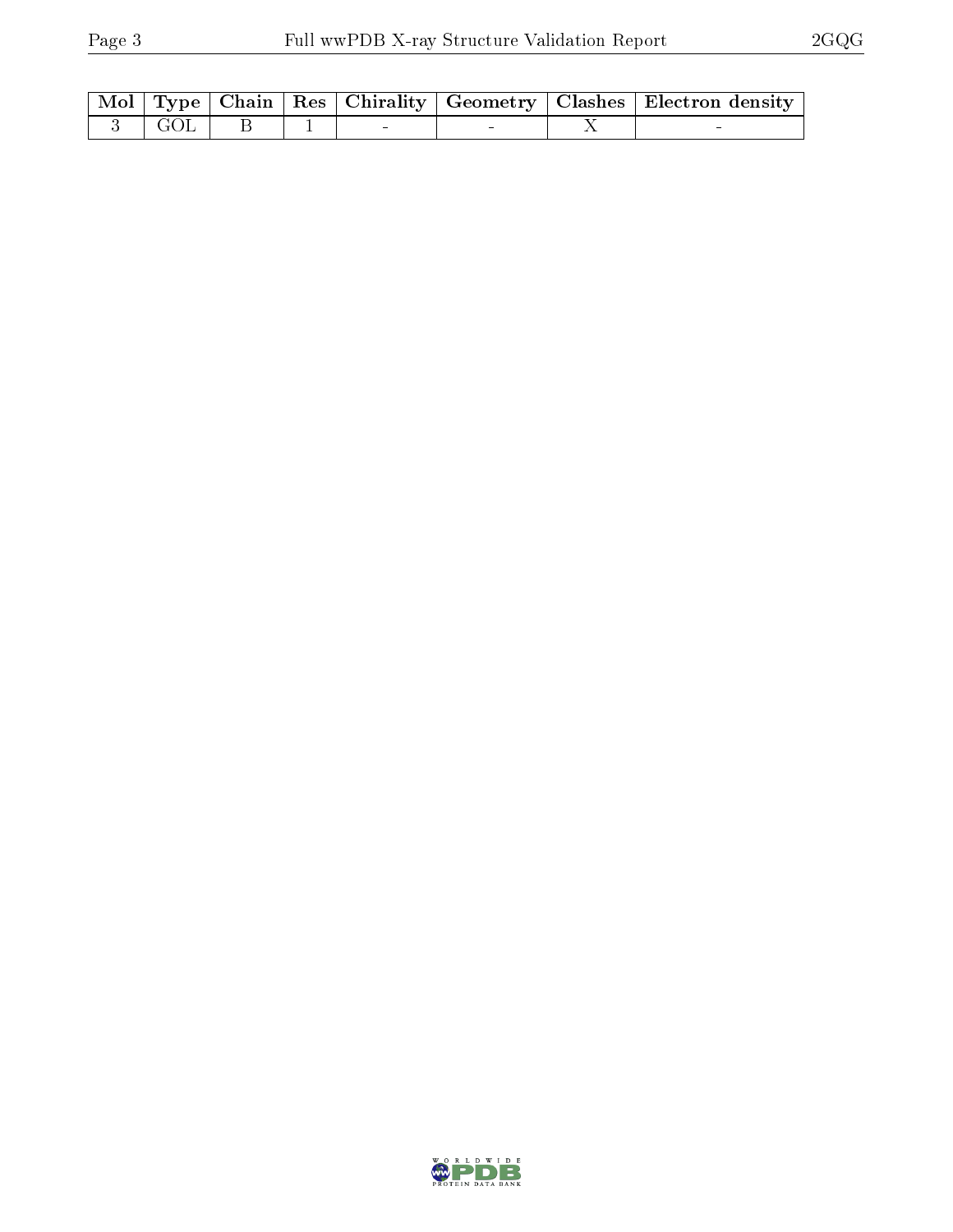|            |  |  | Mol   Type   Chain   Res   Chirality   Geometry   Clashes   Electron density |
|------------|--|--|------------------------------------------------------------------------------|
| $-3$   GOL |  |  |                                                                              |

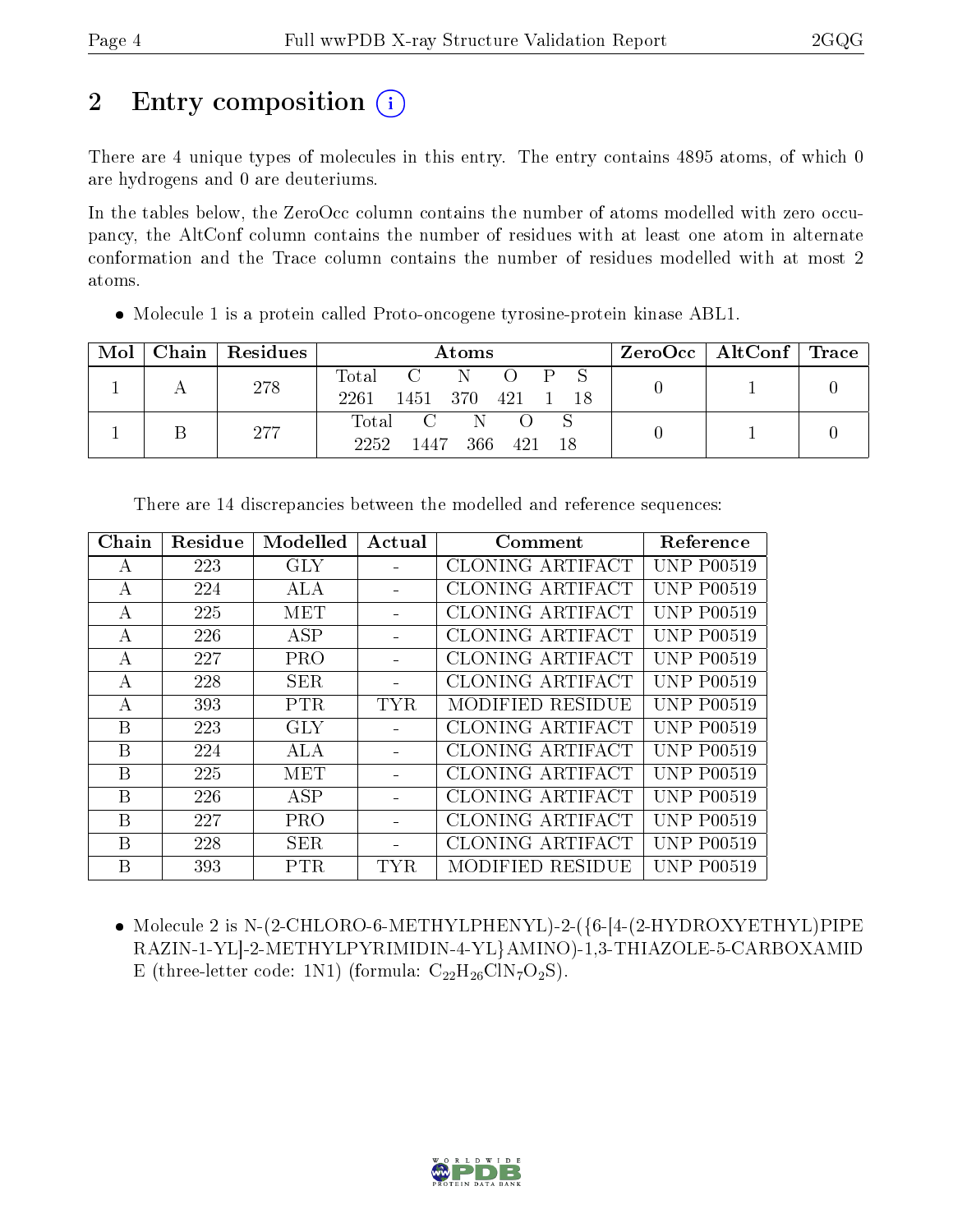# 2 Entry composition  $\binom{1}{1}$

There are 4 unique types of molecules in this entry. The entry contains 4895 atoms, of which 0 are hydrogens and 0 are deuteriums.

In the tables below, the ZeroOcc column contains the number of atoms modelled with zero occupancy, the AltConf column contains the number of residues with at least one atom in alternate conformation and the Trace column contains the number of residues modelled with at most 2 atoms.

Molecule 1 is a protein called Proto-oncogene tyrosine-protein kinase ABL1.

| Mol | Chain   Residues | Atoms                                                                                | $\text{ZeroOcc}$   AltConf   Trace |  |
|-----|------------------|--------------------------------------------------------------------------------------|------------------------------------|--|
|     | 278              | Total<br>$\cdot$ P $\sim$<br>- N<br>$\sim$ C $\sim$<br>2261<br>1451 370 421 1<br>-18 |                                    |  |
|     | 277              | Total C N<br>2252<br>1447 366 421<br>- 18                                            |                                    |  |

| Chain | Residue | Modelled   | Actual | Comment                 | Reference         |
|-------|---------|------------|--------|-------------------------|-------------------|
| A     | 223     | <b>GLY</b> |        | CLONING ARTIFACT        | <b>UNP P00519</b> |
| A     | 224     | ALA        |        | CLONING ARTIFACT        | <b>UNP P00519</b> |
| А     | 225     | MET        |        | CLONING ARTIFACT        | <b>UNP P00519</b> |
| A     | 226     | ASP        |        | <b>CLONING ARTIFACT</b> | <b>UNP P00519</b> |
| А     | 227     | <b>PRO</b> |        | CLONING ARTIFACT        | <b>UNP P00519</b> |
| A     | 228     | <b>SER</b> |        | CLONING ARTIFACT        | <b>UNP P00519</b> |
| А     | 393     | <b>PTR</b> | TYR.   | MODIFIED RESIDUE        | <b>UNP P00519</b> |
| Β     | 223     | <b>GLY</b> |        | CLONING ARTIFACT        | <b>UNP P00519</b> |
| B     | 224     | ALA        |        | CLONING ARTIFACT        | <b>UNP P00519</b> |
| B     | 225     | MET        |        | <b>CLONING ARTIFACT</b> | <b>UNP P00519</b> |
| B     | 226     | ASP        |        | CLONING ARTIFACT        | <b>UNP P00519</b> |
| B     | 227     | <b>PRO</b> |        | CLONING ARTIFACT        | <b>UNP P00519</b> |
| B     | 228     | <b>SER</b> |        | CLONING ARTIFACT        | <b>UNP P00519</b> |
| В     | 393     | <b>PTR</b> | TYR    | MODIFIED RESIDUE        | <b>UNP P00519</b> |

There are 14 discrepancies between the modelled and reference sequences:

 Molecule 2 is N-(2-CHLORO-6-METHYLPHENYL)-2-({6-[4-(2-HYDROXYETHYL)PIPE RAZIN-1-YL]-2-METHYLPYRIMIDIN-4-YL}AMINO)-1,3-THIAZOLE-5-CARBOXAMID E (three-letter code: 1N1) (formula:  $C_{22}H_{26}C1N_7O_2S$ ).

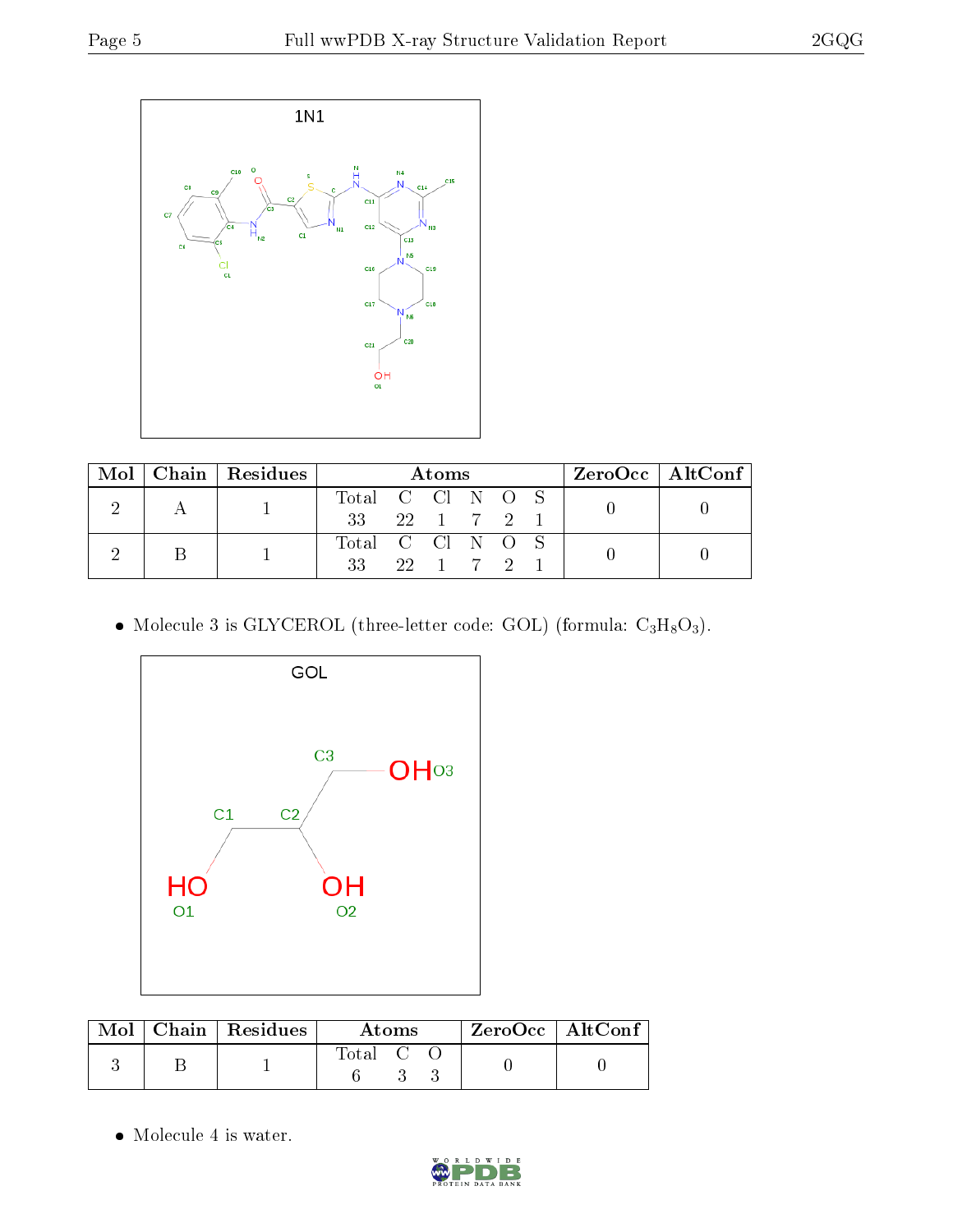

|  |  | Mol   Chain   Residues | Atoms            |                              |  |  |  | $ZeroOcc \   \$ AltConf |  |
|--|--|------------------------|------------------|------------------------------|--|--|--|-------------------------|--|
|  |  |                        | Total C Cl N O S |                              |  |  |  |                         |  |
|  |  | 33 22 1 7 2            |                  |                              |  |  |  |                         |  |
|  |  |                        | Total C Cl N O S |                              |  |  |  |                         |  |
|  |  | 33                     |                  | $22 \quad 1 \quad 7 \quad 2$ |  |  |  |                         |  |

• Molecule 3 is GLYCEROL (three-letter code: GOL) (formula:  $C_3H_8O_3$ ).



|  | $\text{Mol}$   Chain   Residues | <b>Atoms</b>                                             | $ZeroOcc \mid AltConf \mid$ |
|--|---------------------------------|----------------------------------------------------------|-----------------------------|
|  |                                 | $\begin{array}{ccc} \text{Total} & \text{C} \end{array}$ |                             |

• Molecule 4 is water.

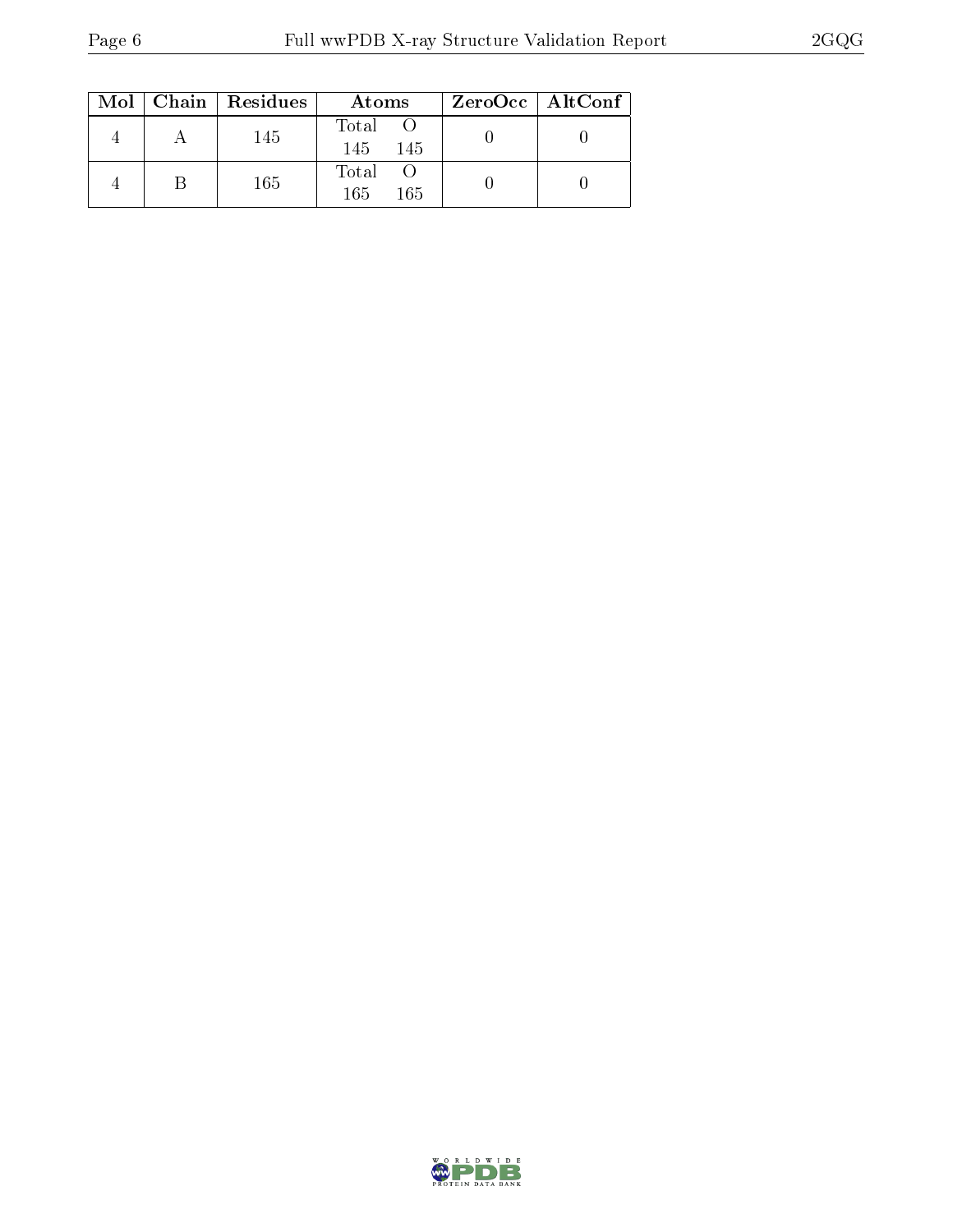|  | $Mol$   Chain   Residues | Atoms                | ZeroOcc   AltConf |
|--|--------------------------|----------------------|-------------------|
|  | 145                      | Total<br>145<br>-145 |                   |
|  | 165                      | Total<br>165<br>165  |                   |

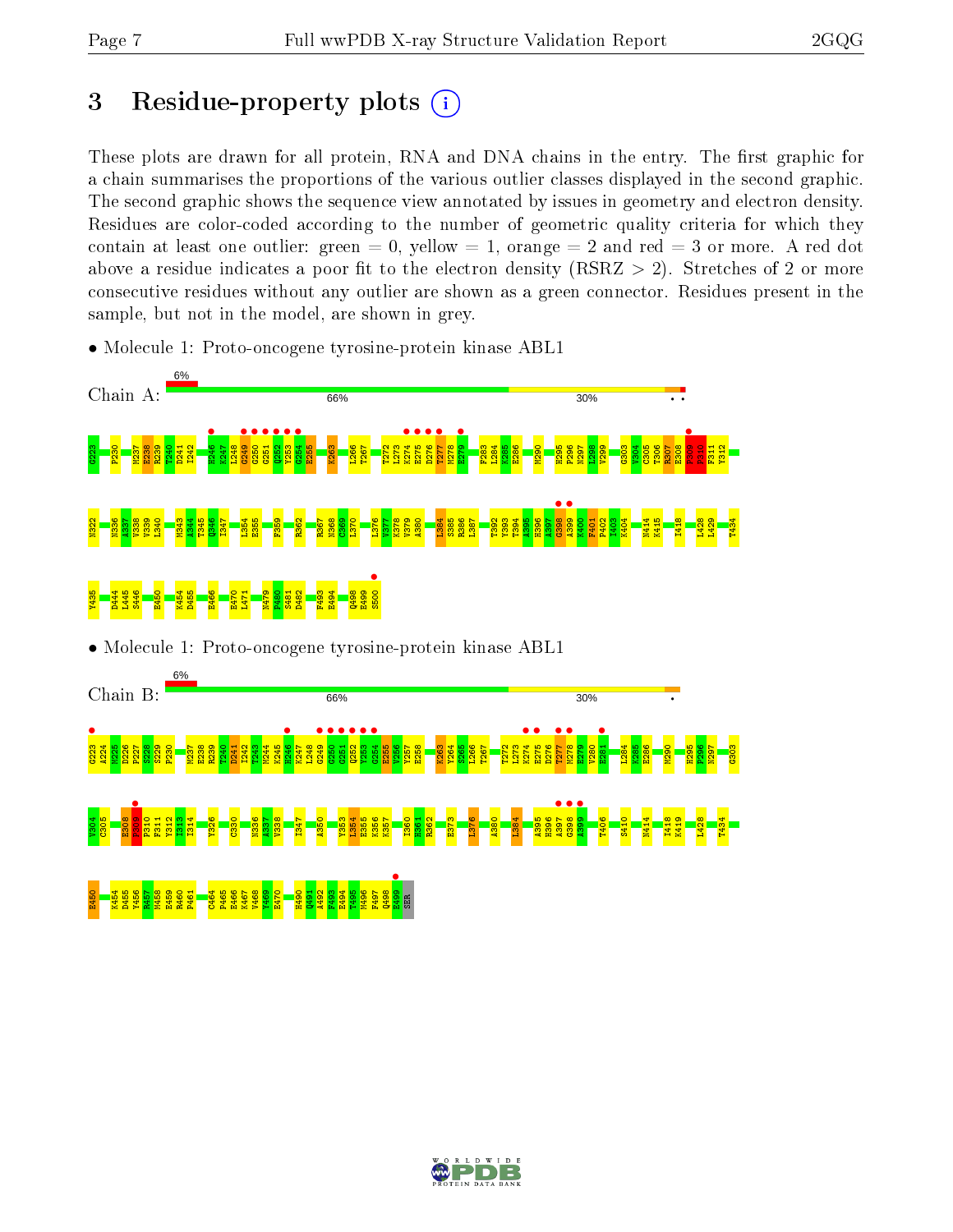# 3 Residue-property plots  $(i)$

These plots are drawn for all protein, RNA and DNA chains in the entry. The first graphic for a chain summarises the proportions of the various outlier classes displayed in the second graphic. The second graphic shows the sequence view annotated by issues in geometry and electron density. Residues are color-coded according to the number of geometric quality criteria for which they contain at least one outlier: green  $= 0$ , yellow  $= 1$ , orange  $= 2$  and red  $= 3$  or more. A red dot above a residue indicates a poor fit to the electron density (RSRZ  $> 2$ ). Stretches of 2 or more consecutive residues without any outlier are shown as a green connector. Residues present in the sample, but not in the model, are shown in grey.



• Molecule 1: Proto-oncogene tyrosine-protein kinase ABL1

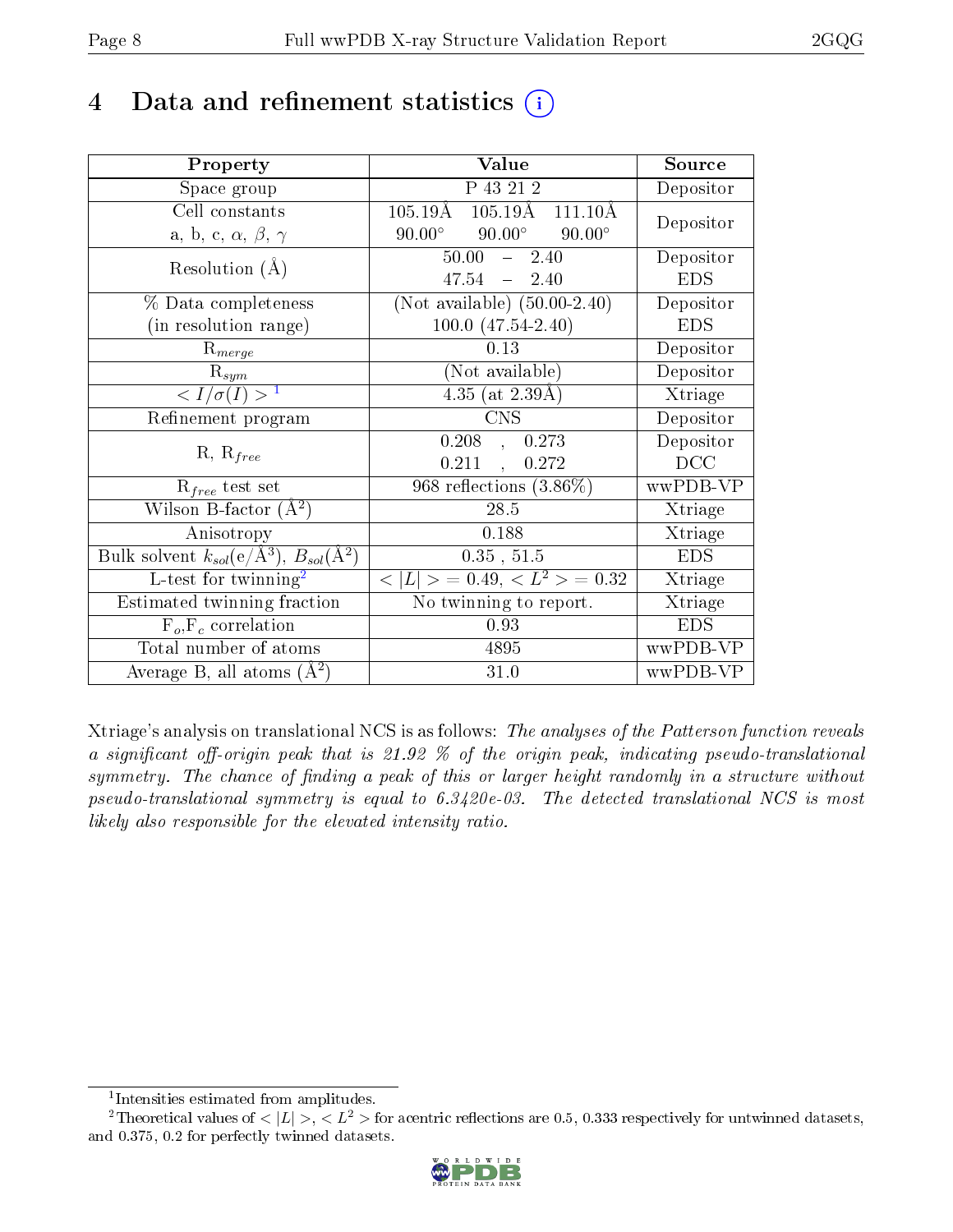## 4 Data and refinement statistics  $(i)$

| Property                                                   | Value                                                | Source     |
|------------------------------------------------------------|------------------------------------------------------|------------|
| Space group                                                | P 43 21 2                                            | Depositor  |
| Cell constants                                             | $105.19\text{\AA}$ $105.19\text{\AA}$<br>$111.10\AA$ | Depositor  |
| a, b, c, $\alpha$ , $\beta$ , $\gamma$                     | $90.00^\circ$<br>$90.00^{\circ}$<br>$90.00^\circ$    |            |
| Resolution $(A)$                                           | 50.00<br>$-2.40$                                     | Depositor  |
|                                                            | $47.54 - 2.40$                                       | <b>EDS</b> |
| % Data completeness                                        | (Not available) $(50.00-2.40)$                       | Depositor  |
| (in resolution range)                                      | $100.0 (47.54 - 2.40)$                               | <b>EDS</b> |
| $R_{merge}$                                                | 0.13                                                 | Depositor  |
| $\mathrm{R}_{sym}$                                         | (Not available)                                      | Depositor  |
| $\langle I/\sigma(I) \rangle^{-1}$                         | $\overline{4.35}$ (at 2.39Å)                         | Xtriage    |
| Refinement program                                         | <b>CNS</b>                                           | Depositor  |
|                                                            | $0.208$ ,<br>0.273                                   | Depositor  |
| $R, R_{free}$                                              | 0.211<br>0.272<br>$\mathcal{L}_{\mathbf{a}}$         | DCC        |
| $R_{free}$ test set                                        | 968 reflections $(3.86\%)$                           | wwPDB-VP   |
| Wilson B-factor $(A^2)$                                    | 28.5                                                 | Xtriage    |
| Anisotropy                                                 | 0.188                                                | Xtriage    |
| Bulk solvent $k_{sol}$ (e/Å <sup>3</sup> ), $B_{sol}(A^2)$ | 0.35, 51.5                                           | <b>EDS</b> |
| L-test for $\mathrm{twinning}^2$                           | $< L >$ = 0.49, $< L2$ = 0.32                        | Xtriage    |
| Estimated twinning fraction                                | No twinning to report.                               | Xtriage    |
| $\overline{F_o}, \overline{F_c}$ correlation               | 0.93                                                 | <b>EDS</b> |
| Total number of atoms                                      | 4895                                                 | wwPDB-VP   |
| Average B, all atoms $(A^2)$                               | 31.0                                                 | wwPDB-VP   |

Xtriage's analysis on translational NCS is as follows: The analyses of the Patterson function reveals a significant off-origin peak that is 21.92  $\%$  of the origin peak, indicating pseudo-translational symmetry. The chance of finding a peak of this or larger height randomly in a structure without pseudo-translational symmetry is equal to 6.3420e-03. The detected translational NCS is most likely also responsible for the elevated intensity ratio.

<sup>&</sup>lt;sup>2</sup>Theoretical values of  $\langle |L| \rangle$ ,  $\langle L^2 \rangle$  for acentric reflections are 0.5, 0.333 respectively for untwinned datasets, and 0.375, 0.2 for perfectly twinned datasets.



<span id="page-7-1"></span><span id="page-7-0"></span><sup>1</sup> Intensities estimated from amplitudes.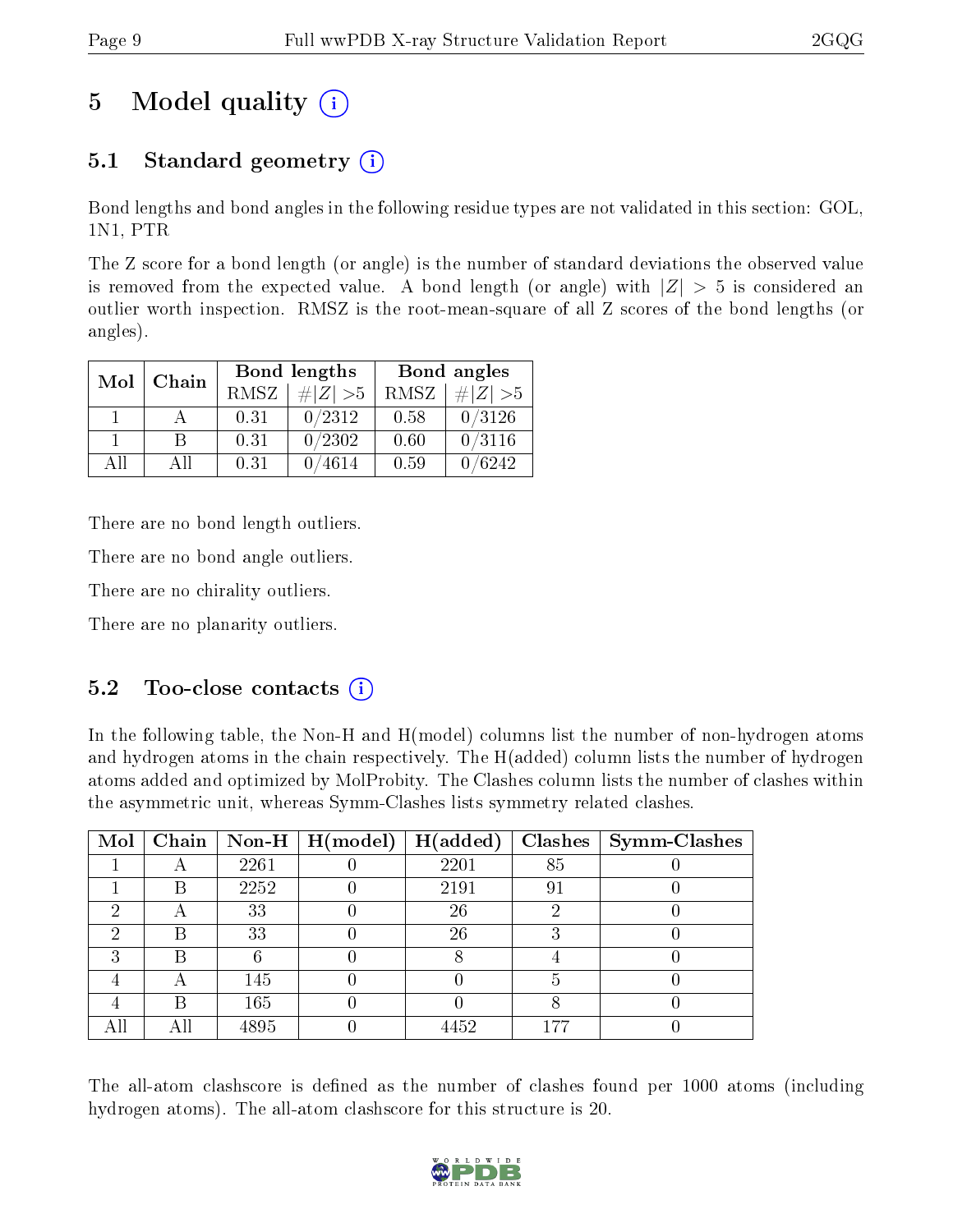# 5 Model quality  $(i)$

### 5.1 Standard geometry  $(i)$

Bond lengths and bond angles in the following residue types are not validated in this section: GOL, 1N1, PTR

The Z score for a bond length (or angle) is the number of standard deviations the observed value is removed from the expected value. A bond length (or angle) with  $|Z| > 5$  is considered an outlier worth inspection. RMSZ is the root-mean-square of all Z scores of the bond lengths (or angles).

| Mol | Chain |      | Bond lengths    | Bond angles |             |  |
|-----|-------|------|-----------------|-------------|-------------|--|
|     |       | RMSZ | $\# Z  > 5$     | RMSZ        | $\# Z  > 5$ |  |
|     |       | 0.31 | 0/2312          | 0.58        | 0/3126      |  |
|     | R     | 0.31 | 0/2302          | 0.60        | 0/3116      |  |
| ΔH  | АH    | 0.31 | $^{\prime}4614$ | 0.59        | /6242       |  |

There are no bond length outliers.

There are no bond angle outliers.

There are no chirality outliers.

There are no planarity outliers.

### $5.2$  Too-close contacts  $\overline{()}$

In the following table, the Non-H and H(model) columns list the number of non-hydrogen atoms and hydrogen atoms in the chain respectively. The H(added) column lists the number of hydrogen atoms added and optimized by MolProbity. The Clashes column lists the number of clashes within the asymmetric unit, whereas Symm-Clashes lists symmetry related clashes.

| Mol | Chain |      | $\sqrt{\frac{1}{10}}$ Non-H $\sqrt{\frac{1}{10}}$ H(model) | H(added) | Clashes | Symm-Clashes |
|-----|-------|------|------------------------------------------------------------|----------|---------|--------------|
|     |       | 2261 |                                                            | 2201     | 85      |              |
|     | B     | 2252 |                                                            | 2191     | 91      |              |
| ച   |       | 33   |                                                            | 26       |         |              |
| 6)  | Β     | 33   |                                                            | 26       |         |              |
|     | R     |      |                                                            |          |         |              |
|     |       | 145  |                                                            |          |         |              |
|     | B     | 165  |                                                            |          |         |              |
|     | Αll   | 4895 |                                                            | 4452     | 177     |              |

The all-atom clashscore is defined as the number of clashes found per 1000 atoms (including hydrogen atoms). The all-atom clashscore for this structure is 20.

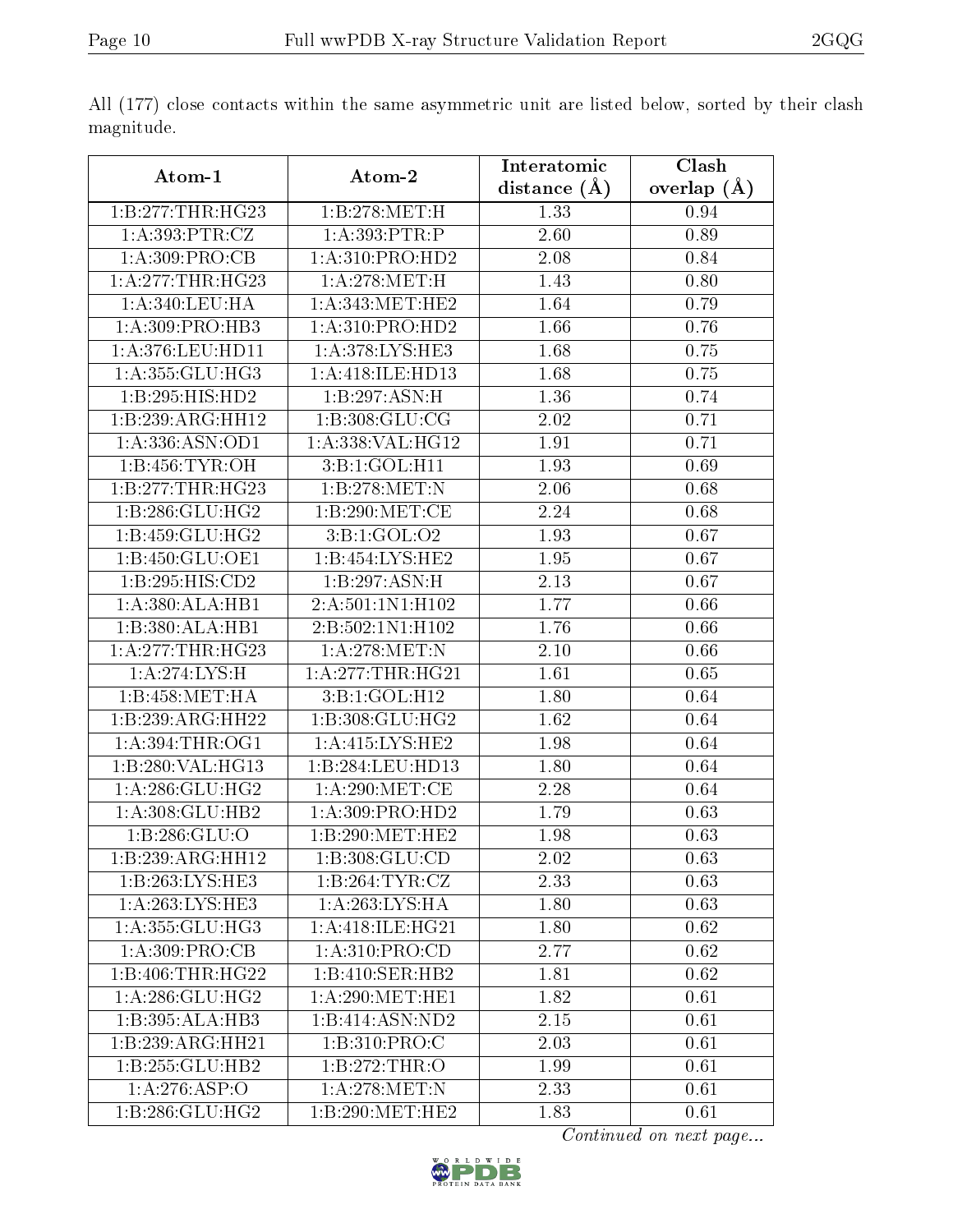| Atom-1              | Atom-2              | Interatomic    | Clash         |
|---------------------|---------------------|----------------|---------------|
|                     |                     | distance $(A)$ | overlap $(A)$ |
| 1:B:277:THR:HG23    | 1:B:278:MET:H       | 1.33           | 0.94          |
| 1:A:393:PTR:CZ      | 1:A:393:PTR:P       | 2.60           | 0.89          |
| 1: A:309: PRO:CB    | 1:A:310:PRO:HD2     | 2.08           | 0.84          |
| 1: A:277:THR:HG23   | 1: A:278:MET:H      | 1.43           | 0.80          |
| 1: A:340:LEU:HA     | 1: A:343:MET:HE2    | 1.64           | 0.79          |
| 1:A:309:PRO:HB3     | 1:A:310:PRO:HD2     | 1.66           | 0.76          |
| $1:$ A:376:LEU:HD11 | 1: A:378: LYS: HE3  | 1.68           | 0.75          |
| 1: A:355: GLU:HG3   | 1:A:418:ILE:HD13    | 1.68           | 0.75          |
| 1:B:295:HIS:HD2     | 1:B:297:ASN:H       | 1.36           | 0.74          |
| 1:B:239:ARG:HH12    | 1: B: 308: GLU: CG  | 2.02           | 0.71          |
| 1:A:336:ASN:OD1     | 1:A:338:VAL:HG12    | 1.91           | 0.71          |
| 1:B:456:TYR:OH      | 3:B:1:GOL:H11       | 1.93           | 0.69          |
| 1:B:277:THR:HG23    | 1:B:278:MET:N       | 2.06           | 0.68          |
| 1:B:286:GLU:HG2     | 1: B:290:MET:CE     | 2.24           | 0.68          |
| 1:B:459:GLU:HG2     | 3:B:1:GOL:O2        | 1.93           | 0.67          |
| 1:B:450:GLU:OE1     | 1:B:454:LYS:HE2     | 1.95           | 0.67          |
| 1:B:295:HIS:CD2     | 1:B:297:ASN:H       | 2.13           | 0.67          |
| 1:A:380:ALA:HB1     | 2:A:501:1N1:H102    | 1.77           | 0.66          |
| 1:B:380:ALA:HB1     | 2:B:502:1N1:H102    | 1.76           | 0.66          |
| 1: A:277:THR:HG23   | 1: A:278:MET:N      | 2.10           | 0.66          |
| 1:A:274:LYS:H       | 1: A:277:THR:HG21   | 1.61           | 0.65          |
| 1:B:458:MET:HA      | 3:B:1:GOL:H12       | 1.80           | 0.64          |
| 1:B:239:ARG:HH22    | 1:B:308:GLU:HG2     | 1.62           | 0.64          |
| 1: A:394:THR:OG1    | 1: A:415: LYS: HE2  | 1.98           | 0.64          |
| 1:B:280:VAL:HG13    | 1:B:284:LEU:HD13    | 1.80           | 0.64          |
| 1: A:286: GLU:HG2   | 1: A:290:MET:CE     | 2.28           | 0.64          |
| 1:A:308:GLU:HB2     | 1:A:309:PRO:HD2     | 1.79           | 0.63          |
| 1: B:286: GLU:O     | 1:B:290:MET:HE2     | 1.98           | 0.63          |
| 1:B:239:ARG:HH12    | 1:B:308:GLU:CD      | 2.02           | 0.63          |
| 1:B:263:LYS:HE3     | 1:B:264:TYR:CZ      | 2.33           | 0.63          |
| 1: A:263:LYS:HE3    | 1:A:263:LYS:HA      | 1.80           | 0.63          |
| 1:A:355:GLU:HG3     | 1: A:418: ILE: HG21 | 1.80           | 0.62          |
| 1: A:309: PRO:CB    | 1: A:310: PRO:CD    | 2.77           | 0.62          |
| 1:B:406:THR:HG22    | 1:B:410:SER:HB2     | 1.81           | 0.62          |
| 1: A:286: GLU:HG2   | 1: A:290:MET:HE1    | 1.82           | 0.61          |
| 1:B:395:ALA:HB3     | 1:B:414:ASN:ND2     | 2.15           | 0.61          |
| 1:B:239:ARG:HH21    | 1:B:310:PRO:C       | 2.03           | 0.61          |
| 1:B:255:GLU:HB2     | 1:B:272:THR:O       | 1.99           | 0.61          |
| 1:A:276:ASP:O       | 1: A:278:MET:N      | 2.33           | 0.61          |
| 1: B: 286: GLU: HG2 | 1:B:290:MET:HE2     | 1.83           | 0.61          |

All (177) close contacts within the same asymmetric unit are listed below, sorted by their clash magnitude.

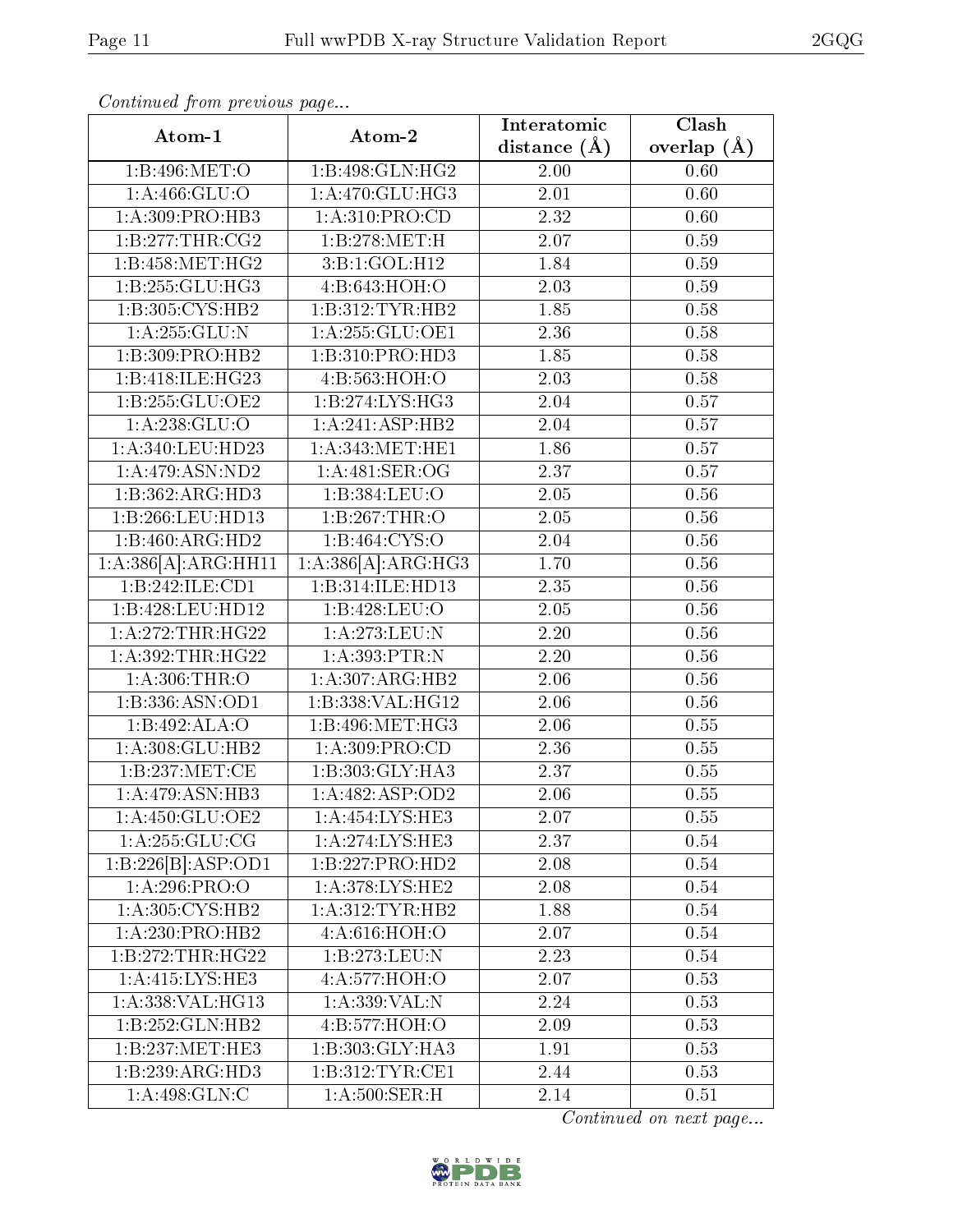| Continued from previous page  |                              |                   |               |  |  |
|-------------------------------|------------------------------|-------------------|---------------|--|--|
| Atom-1                        | Atom-2                       | Interatomic       | Clash         |  |  |
|                               |                              | distance $(\AA)$  | overlap $(A)$ |  |  |
| 1:B:496:MET:O                 | 1:B:498:GLN:HG2              | 2.00              | 0.60          |  |  |
| 1: A:466: GLU:O               | 1:A:470:GLU:HG3              | $\overline{2.01}$ | 0.60          |  |  |
| 1:A:309:PRO:HB3               | 1: A:310: PRO:CD             | 2.32              | 0.60          |  |  |
| 1: B: 277: THR: CG2           | 1:B:278:MET:H                | 2.07              | 0.59          |  |  |
| 1: B:458:MET:HG2              | 3:B:1:GOL:H12                | 1.84              | 0.59          |  |  |
| 1:B:255:GLU:HG3               | 4:B:643:HOH:O                | 2.03              | 0.59          |  |  |
| 1:B:305:CYS:HB2               | 1:B:312:TYR:HB2              | 1.85              | 0.58          |  |  |
| 1:A:255:GLU:N                 | 1:A:255:GLU:OE1              | 2.36              | 0.58          |  |  |
| $1:B:309:P\overline{RO:HB2}$  | 1:B:310:PRO:HD3              | 1.85              | 0.58          |  |  |
| 1:B:418:ILE:HG23              | 4:B:563:HOH:O                | 2.03              | 0.58          |  |  |
| 1:B:255:GLU:OE2               | 1:B:274:LYS:HG3              | 2.04              | 0.57          |  |  |
| 1: A: 238: GLU: O             | $1:A:241:AS\overline{P:HB2}$ | 2.04              | 0.57          |  |  |
| 1:A:340:LEU:HD23              | 1: A:343:MET:HE1             | 1.86              | 0.57          |  |  |
| $1:A:479: \overline{ASN:ND2}$ | 1: A:481: SER:OG             | 2.37              | 0.57          |  |  |
| 1:B:362:ARG:HD3               | 1:B:384:LEU:O                | 2.05              | 0.56          |  |  |
| 1:B:266:LEU:HD13              | 1:B:267:THR:O                | 2.05              | 0.56          |  |  |
| 1:B:460:ARG:HD2               | 1: B:464: CYS:O              | 2.04              | 0.56          |  |  |
| 1:A:386[A]:ARG:HH11           | 1:A:386[A]:ARG:HG3           | 1.70              | 0.56          |  |  |
| 1:B:242:ILE:CD1               | 1:B:314:ILE:HD13             | 2.35              | 0.56          |  |  |
| 1:B:428:LEU:HD12              | 1:B:428:LEU:O                | 2.05              | 0.56          |  |  |
| 1:A:272:THR:HG22              | 1:A:273:LEU:N                | $\overline{2.20}$ | 0.56          |  |  |
| 1:A:392:THR:HG22              | 1:A:393:PTR:N                | 2.20              | 0.56          |  |  |
| 1: A:306:THR:O                | 1:A:307:ARG:HB2              | 2.06              | 0.56          |  |  |
| 1:B:336:ASN:OD1               | 1:B:338:VAL:HG12             | 2.06              | 0.56          |  |  |
| 1:B:492:ALA:O                 | 1:B:496:MET:HG3              | 2.06              | 0.55          |  |  |
| 1:A:308:GLU:HB2               | 1:A:309:PRO:CD               | $\overline{2.36}$ | 0.55          |  |  |
| 1:B:237:MET:CE                | 1:B:303:GLY:HA3              | 2.37              | 0.55          |  |  |
| 1:A:479:ASN:HB3               | 1: A: 482: ASP: OD2          | 2.06              | 0.55          |  |  |
| 1: A: 450: GLU: OE2           | 1: A:454: LYS: HE3           | 2.07              | 0.55          |  |  |
| 1: A:255: GLU:CG              | 1:A:274:LYS:HE3              | 2.37              | 0.54          |  |  |
| 1:B:226[B]:ASP:OD1            | 1:B:227:PRO:HD2              | 2.08              | 0.54          |  |  |
| 1: A:296: PRO:O               | 1: A:378: LYS: HE2           | 2.08              | 0.54          |  |  |
| 1: A:305: CYS:HB2             | 1: A:312: TYR: HB2           | 1.88              | 0.54          |  |  |
| 1:A:230:PRO:HB2               | 4: A:616: HOH:O              | 2.07              | 0.54          |  |  |
| 1:B:272:THR:HG22              | 1:B:273:LEU:N                | 2.23              | 0.54          |  |  |
| 1:A:415:LYS:HE3               | 4:A:577:HOH:O                | 2.07              | 0.53          |  |  |
| 1: A: 338: VAL: HG13          | 1:A:339:VAL:N                | 2.24              | 0.53          |  |  |
| 1:B:252:GLN:HB2               | 4:B:577:HOH:O                | 2.09              | 0.53          |  |  |
| 1:B:237:MET:HE3               | 1:B:303:GLY:HA3              | 1.91              | 0.53          |  |  |
| $1:B:239:AR\overline{G:HD3}$  | 1:B:312:TYR:CE1              | 2.44              | 0.53          |  |  |
| 1:A:498:GLN:C                 | 1: A:500:SER:H               | 2.14              | 0.51          |  |  |
|                               |                              |                   |               |  |  |

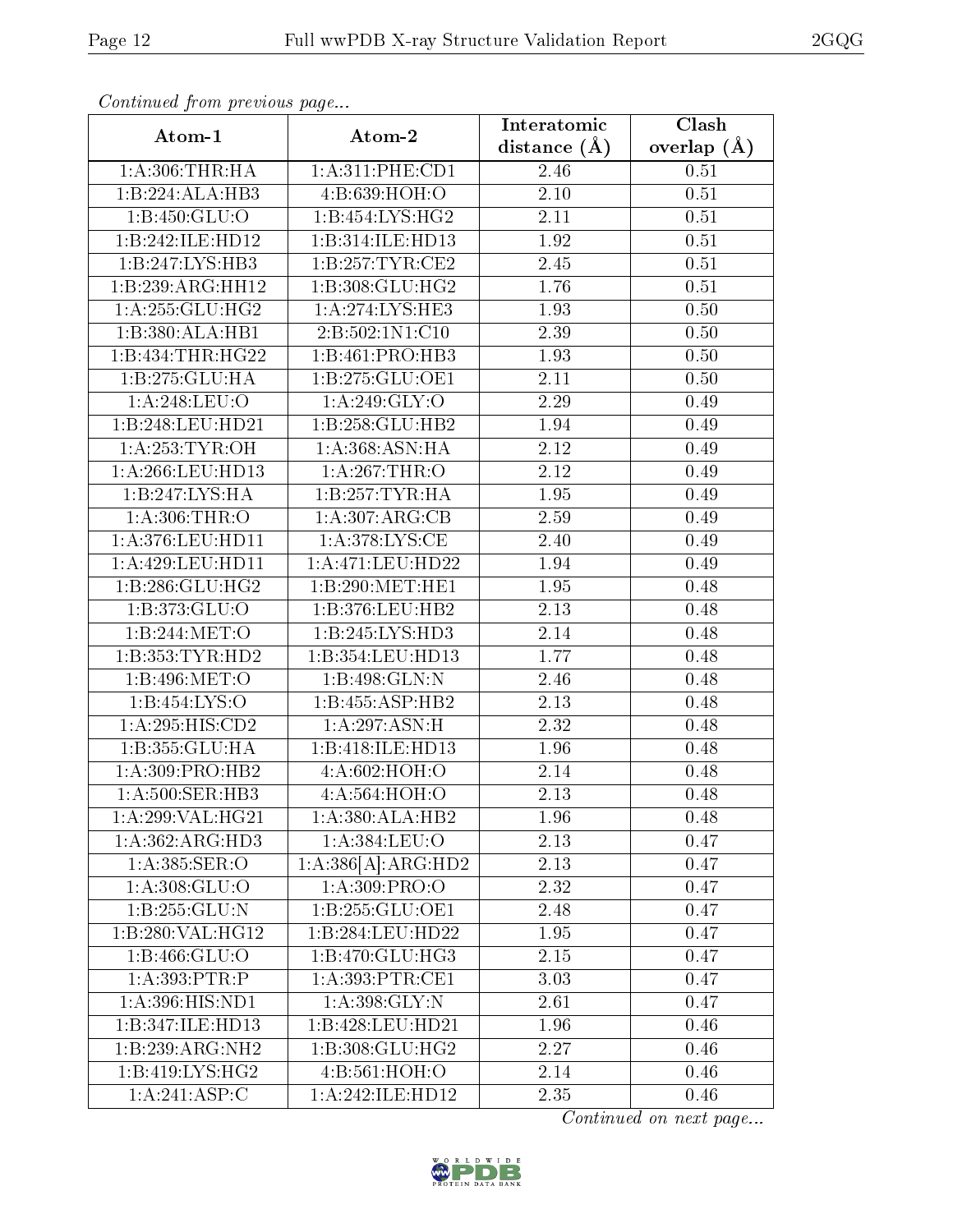| Continued from previous page |                     | Interatomic       | Clash           |
|------------------------------|---------------------|-------------------|-----------------|
| Atom-1                       | Atom-2              | distance $(\AA)$  | overlap $(\AA)$ |
| 1: A:306:THR:HA              | 1: A:311: PHE:CD1   | 2.46              | 0.51            |
| 1:B:224:ALA:HB3              | 4: B:639:HOH:O      | $\overline{2.10}$ | 0.51            |
| 1: B: 450: GLU:O             | 1: B: 454: LYS: HG2 | 2.11              | 0.51            |
| 1:B:242:ILE:HD12             | 1:B:314:ILE:HD13    | 1.92              | 0.51            |
| $1:B:247:LYS:H\overline{B3}$ | 1: B: 257: TYR: CE2 | 2.45              | 0.51            |
| 1:B:239:ARG:HH12             | 1:B:308:GLU:HG2     | 1.76              | 0.51            |
| 1: A:255: GLU:HG2            | 1:A:274:LYS:HE3     | 1.93              | 0.50            |
| 1:B:380:ALA:HB1              | 2:B:502:1N1:C10     | 2.39              | 0.50            |
| 1:B:434:THR:HG22             | 1:B:461:PRO:HB3     | 1.93              | 0.50            |
| 1:B:275:GLU:HA               | 1:B:275:GLU:OE1     | 2.11              | 0.50            |
| 1:A:248:LEU:O                | 1:A:249:GLY:O       | 2.29              | 0.49            |
| 1:B:248:LEU:HD21             | 1:B:258:GLU:HB2     | 1.94              | 0.49            |
| 1: A:253: TYR:OH             | 1:A:368:ASN:HA      | 2.12              | 0.49            |
| 1:A:266:LEU:HD13             | 1:A:267:THR:O       | $\overline{2.12}$ | 0.49            |
| 1:B:247:LYS:HA               | 1:B:257:TYR:HA      | 1.95              | 0.49            |
| $1:$ A:306:THR:O             | 1:A:307:ARG:CB      | 2.59              | 0.49            |
| 1:A:376:LEU:HD11             | 1: A:378:LYS:CE     | 2.40              | 0.49            |
| 1:A:429:LEU:HD11             | 1:A:471:LEU:HD22    | 1.94              | 0.49            |
| 1:B:286:GLU:HG2              | 1:B:290:MET:HE1     | $\overline{1.95}$ | 0.48            |
| 1:B:373:GLU:O                | 1:B:376:LEU:HB2     | 2.13              | 0.48            |
| 1:B:244:MET:O                | 1:B:245:LYS:HD3     | 2.14              | 0.48            |
| 1:B:353:TYR:HD2              | 1:B:354:LEU:HD13    | 1.77              | 0.48            |
| 1:B:496:MET:O                | 1:B:498:GLN:N       | 2.46              | 0.48            |
| 1:B:454:LYS:O                | 1:B:455:ASP:HB2     | 2.13              | 0.48            |
| 1:A:295:HIS:CD2              | 1: A:297:ASN:H      | 2.32              | 0.48            |
| 1:B:355:GLU:HA               | 1:B:418:ILE:HD13    | 1.96              | 0.48            |
| 1:A:309:PRO:HB2              | 4:A:602:HOH:O       | 2.14              | 0.48            |
| 1:A:500:SER:HB3              | 4:A:564:HOH:O       | 2.13              | 0.48            |
| 1:A:299:VAL:HG21             | 1:A:380:ALA:HB2     | 1.96              | 0.48            |
| 1:A:362:ARG:HD3              | 1:A:384:LEU:O       | 2.13              | 0.47            |
| 1: A: 385: SER: O            | 1:A:386[A]:ARG:HD2  | 2.13              | 0.47            |
| 1: A: 308: GLU:O             | 1: A:309: PRO:O     | 2.32              | 0.47            |
| 1:B:255:GLU:N                | 1:B:255:GLU:OE1     | 2.48              | 0.47            |
| 1:B:280:VAL:HG12             | 1:B:284:LEU:HD22    | 1.95              | 0.47            |
| 1: B: 466: GLU: O            | 1:B:470:GLU:HG3     | 2.15              | 0.47            |
| 1:A:393:PTR:P                | 1: A:393:PTR:CE1    | 3.03              | 0.47            |
| 1:A:396:HIS:ND1              | 1: A:398: GLY:N     | 2.61              | 0.47            |
| 1:B:347:ILE:HD13             | 1:B:428:LEU:HD21    | 1.96              | 0.46            |
| 1:B:239:ARG:NH2              | 1:B:308:GLU:HG2     | 2.27              | 0.46            |
| 1:B:419:LYS:HG2              | 4: B:561: HOH:O     | 2.14              | 0.46            |
| 1:A:241:ASP:C                | 1:A:242:ILE:HD12    | 2.35              | 0.46            |

Continued from previous page.

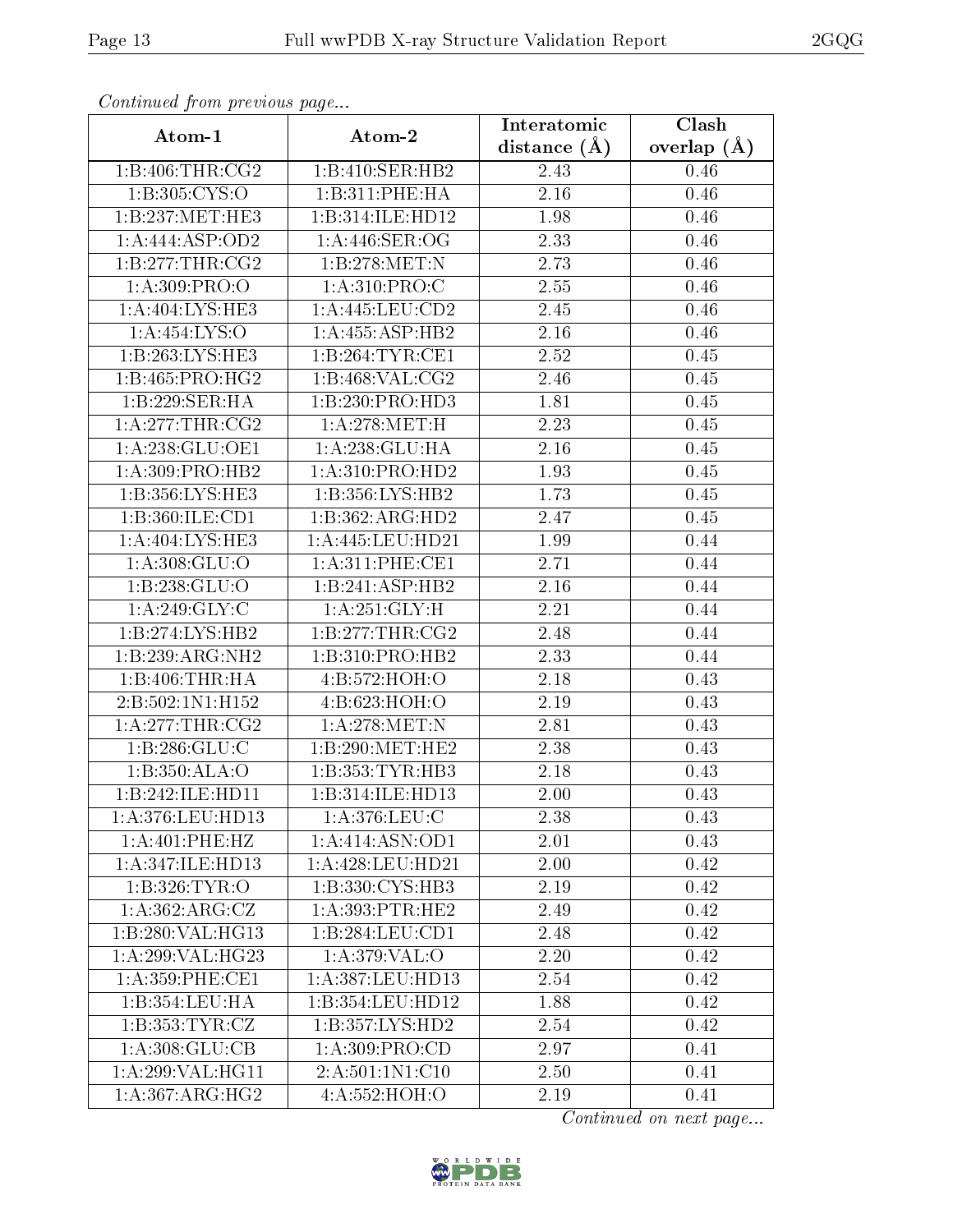|--|

| Continuea from previous page |                     | Interatomic    | Clash           |
|------------------------------|---------------------|----------------|-----------------|
| Atom-1                       | Atom-2              | distance $(A)$ | overlap $(\AA)$ |
| 1: B:406: THR:CG2            | 1:B:410:SER:HB2     | 2.43           | 0.46            |
| 1: B: 305: CYS:O             | 1:B:311:PHE:HA      | 2.16           | 0.46            |
| 1:B:237:MET:HE3              | 1:B:314:ILE:HD12    | 1.98           | 0.46            |
| 1:A:444:ASP:OD2              | 1:A:446:SER:OG      | 2.33           | 0.46            |
| 1: B:277:THR:CG2             | 1:B:278:MET:N       | 2.73           | 0.46            |
| 1: A:309: PRO:               | 1: A:310: PRO: C    | 2.55           | 0.46            |
| 1:A:404:LYS:HE3              | 1:A:445:LEU:CD2     | 2.45           | 0.46            |
| 1:A:454:LYS:O                | 1: A:455: ASP:HB2   | 2.16           | 0.46            |
| 1:B:263:LYS:HE3              | 1:B:264:TYR:CE1     | 2.52           | 0.45            |
| 1:B:465:PRO:HG2              | 1: B:468: VAL: CG2  | 2.46           | 0.45            |
| 1:B:229:SER:HA               | 1:B:230:PRO:HD3     | 1.81           | 0.45            |
| 1: A:277:THR:CG2             | 1: A:278:MET:H      | 2.23           | 0.45            |
| 1:A:238:GLU:OE1              | 1:A:238:GLU:HA      | 2.16           | 0.45            |
| 1:A:309:PRO:HB2              | 1:A:310:PRO:HD2     | 1.93           | 0.45            |
| 1:B:356:LYS:HE3              | 1:B:356:LYS:HB2     | 1.73           | 0.45            |
| 1:B:360:ILE:CD1              | 1:B:362:ARG:HD2     | 2.47           | 0.45            |
| 1:A:404:LYS:HE3              | 1:A:445:LEU:HD21    | 1.99           | 0.44            |
| 1: A:308: GLU:O              | 1: A:311: PHE:CE1   | 2.71           | 0.44            |
| 1:B:238:GLU:O                | 1:B:241:ASP:HB2     | 2.16           | 0.44            |
| 1: A:249: GLY: C             | 1: A:251: GLY: H    | 2.21           | 0.44            |
| 1:B:274:LYS:HB2              | 1: B: 277: THR: CG2 | 2.48           | 0.44            |
| 1:B:239:ARG:NH2              | 1:B:310:PRO:HB2     | 2.33           | 0.44            |
| 1:B:406:THR:HA               | 4:B:572:HOH:O       | 2.18           | 0.43            |
| 2:B:502:1N1:H152             | 4:B:623:HOH:O       | 2.19           | 0.43            |
| 1:A:277:THR:CG2              | 1: A:278:MET:N      | 2.81           | 0.43            |
| 1: B:286: GLU:C              | 1:B:290:MET:HE2     | 2.38           | 0.43            |
| 1:B:350:ALA:O                | 1:B:353:TYR:HB3     | 2.18           | 0.43            |
| 1:B:242:ILE:HD11             | 1:B:314:ILE:HD13    | 2.00           | 0.43            |
| 1:A:376:LEU:HD13             | 1: A:376: LEU: C    | 2.38           | 0.43            |
| 1: A:401:PHE:HZ              | 1: A:414: ASN:OD1   | 2.01           | 0.43            |
| 1: A:347: ILE:HD13           | 1:A:428:LEU:HD21    | 2.00           | 0.42            |
| 1:B:326:TYR:O                | 1:B:330:CYS:HB3     | 2.19           | 0.42            |
| $1:A:362:ARG:\overline{CZ}$  | 1: A:393:PTR:HE2    | 2.49           | 0.42            |
| 1:B:280:VAL:HG13             | 1:B:284:LEU:CD1     | 2.48           | 0.42            |
| 1: A:299: VAL:HG23           | 1:A:379:VAL:O       | 2.20           | 0.42            |
| $1: A:359:$ PHE:CE1          | 1:A:387:LEU:HD13    | 2.54           | 0.42            |
| 1:B:354:LEU:HA               | 1:B:354:LEU:HD12    | 1.88           | 0.42            |
| 1:B:353:TYR:CZ               | 1:B:357:LYS:HD2     | 2.54           | 0.42            |
| 1: A:308: GLU:CB             | 1: A:309: PRO:CD    | 2.97           | 0.41            |
| 1:A:299:VAL:HG11             | 2:A:501:1N1:C10     | 2.50           | 0.41            |
| 1: A: 367: ARG: HG2          | 4:A:552:HOH:O       | 2.19           | 0.41            |

Continued from previous page.

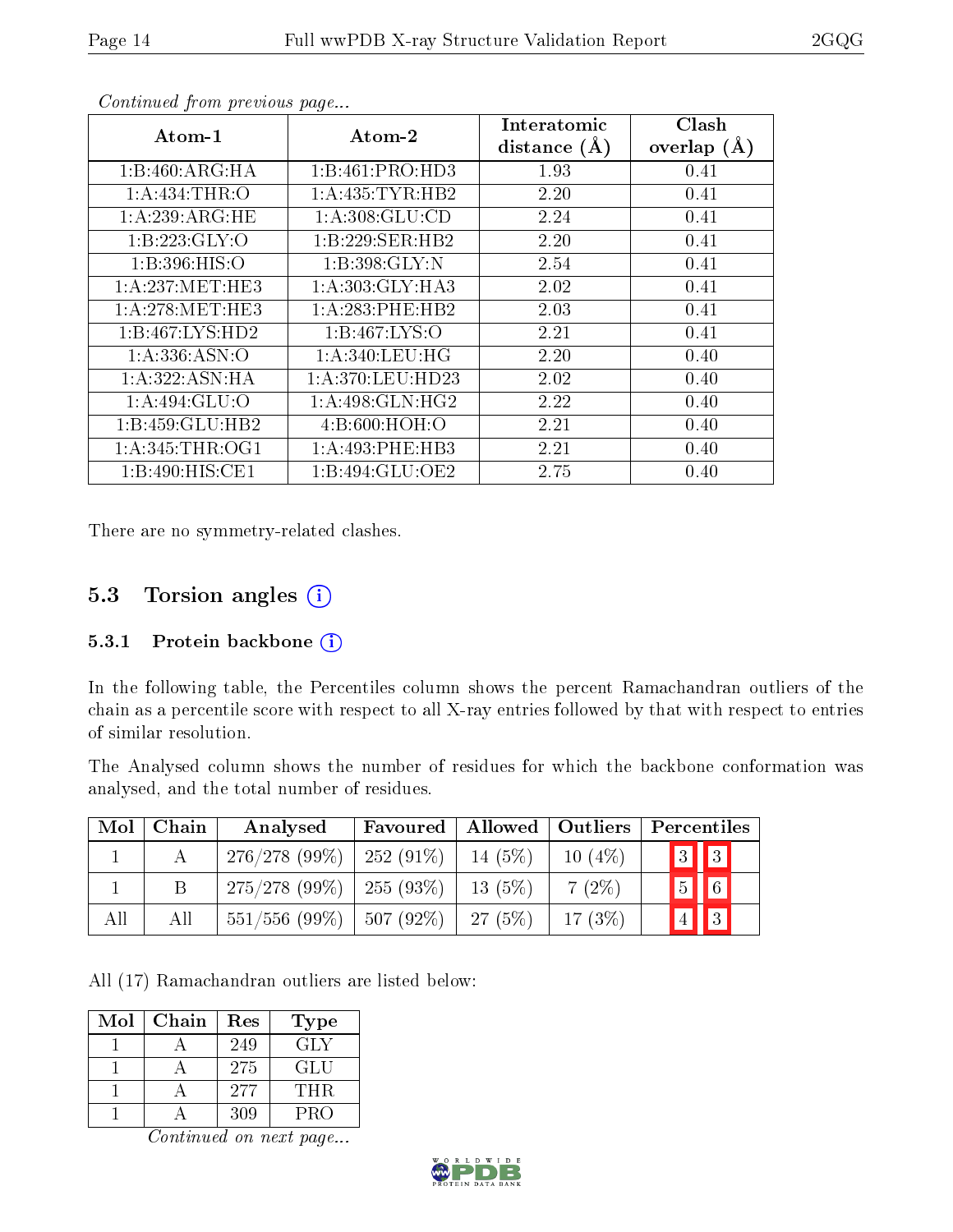| $\boldsymbol{\mathrm{Atom}\text{-}1}$ | Atom-2              | ${\rm Interatomic}$ | Clash         |
|---------------------------------------|---------------------|---------------------|---------------|
|                                       |                     | distance $(A)$      | overlap $(A)$ |
| 1:B:460:ARG:HA                        | 1:B:461:PRO:HD3     | 1.93                | 0.41          |
| 1: A: 434: THR:O                      | 1: A: 435: TYR: HB2 | 2.20                | 0.41          |
| 1:A:239:ARG:HE                        | 1: A:308: GLU:CD    | 2.24                | 0.41          |
| 1:B:223:GLY:O                         | 1:B:229:SER:HB2     | 2.20                | 0.41          |
| 1: B: 396: HIS: O                     | 1:B:398:GLY:N       | 2.54                | 0.41          |
| 1: A:237: MET:HE3                     | 1: A:303: GLY:HA3   | 2.02                | 0.41          |
| 1: A:278: MET:HE3                     | 1:A:283:PHE:HB2     | 2.03                | 0.41          |
| 1:B:467:LYS:HD2                       | 1: B: 467: LYS: O   | 2.21                | 0.41          |
| 1: A: 336: ASN:O                      | 1: A:340:LEU:HG     | 2.20                | 0.40          |
| 1:A:322:ASN:HA                        | 1: A:370: LEU: HD23 | 2.02                | 0.40          |
| 1: A:494: GLU:O                       | 1:A:498:GLN:HG2     | 2.22                | 0.40          |
| 1:B:459:GLU:HB2                       | 4:8:600:HOH:O       | 2.21                | 0.40          |
| 1: A:345:THR:OG1                      | 1:A:493:PHE:HB3     | 2.21                | 0.40          |
| 1:B:490:HIS:CE1                       | 1: B:494: GLU:OE2   | 2.75                | 0.40          |

Continued from previous page...

There are no symmetry-related clashes.

### 5.3 Torsion angles (i)

#### 5.3.1 Protein backbone  $(i)$

In the following table, the Percentiles column shows the percent Ramachandran outliers of the chain as a percentile score with respect to all X-ray entries followed by that with respect to entries of similar resolution.

The Analysed column shows the number of residues for which the backbone conformation was analysed, and the total number of residues.

| $\text{Mol} \perp$ | Chain | Analysed                      | Favoured | Allowed   Outliers |           | Percentiles               |
|--------------------|-------|-------------------------------|----------|--------------------|-----------|---------------------------|
|                    |       | $276/278$ (99\%)   252 (91\%) |          | 14 $(5%)$          | $10(4\%)$ | $3$ $3$                   |
|                    |       | $275/278$ (99\%)   255 (93\%) |          | $13(5\%)$          | $7(2\%)$  | $\sqrt{6}$<br>$\boxed{5}$ |
| All                | All   | $551/556$ (99\%)   507 (92\%) |          | 27(5%)             | $17(3\%)$ | $\sqrt{3}$<br>$\sqrt{4}$  |

All (17) Ramachandran outliers are listed below:

| Mol | Chain | Res | Type |
|-----|-------|-----|------|
|     |       | 249 | GLY  |
|     |       | 275 | GLU  |
|     |       | 277 | THR. |
|     |       | 309 | PRO  |

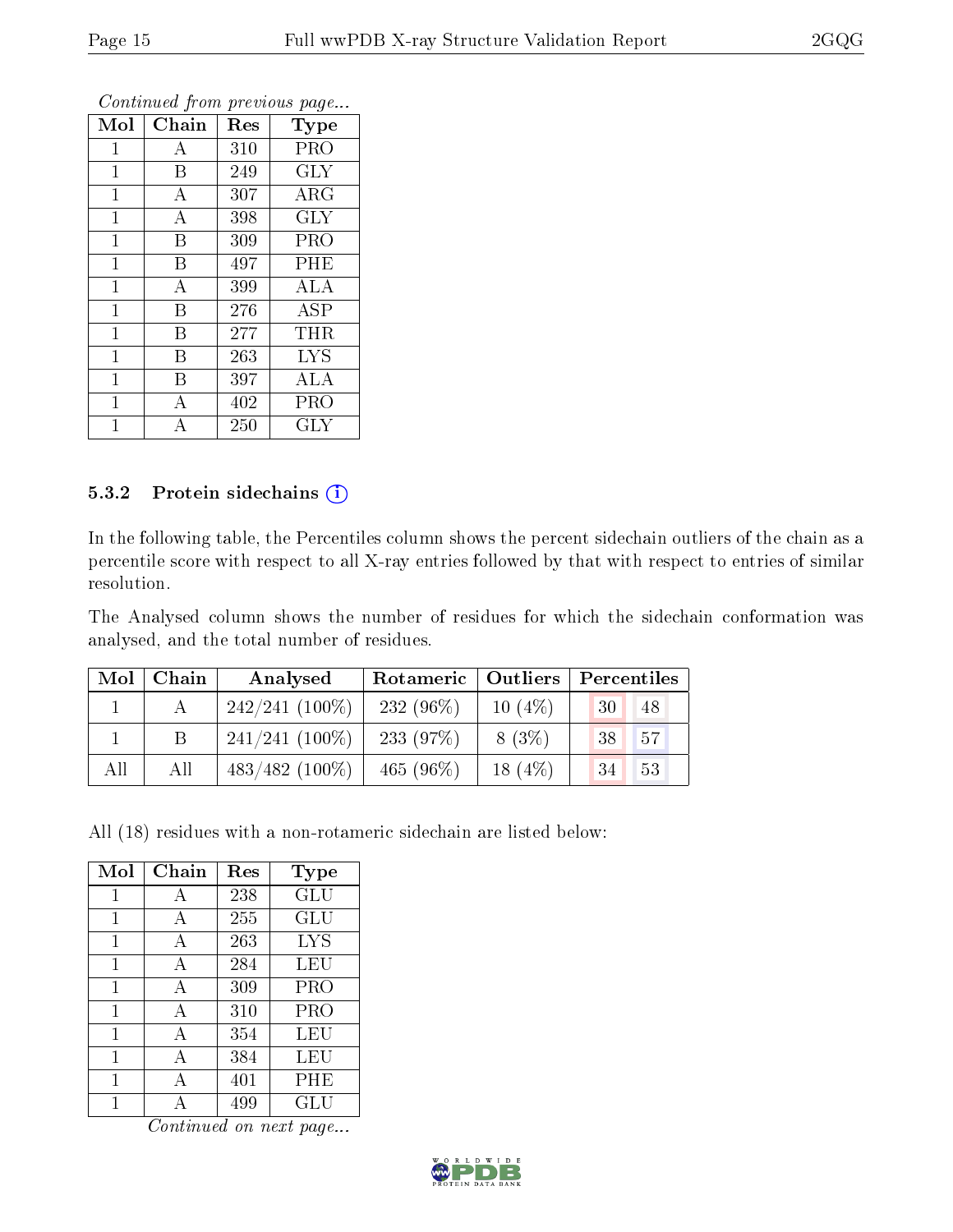| Mol          | Chain            | Res | <b>Type</b>       |
|--------------|------------------|-----|-------------------|
| $\mathbf{1}$ | А                | 310 | PRO               |
| $\mathbf{1}$ | B                | 249 | <b>GLY</b>        |
| $\mathbf 1$  | A                | 307 | $\rm{ARG}$        |
| $\mathbf{1}$ | $\boldsymbol{A}$ | 398 | <b>GLY</b>        |
| 1            | B                | 309 | PRO               |
| $\mathbf{1}$ | B                | 497 | PHE               |
| $\mathbf 1$  | $\overline{A}$   | 399 | ALA               |
| $\mathbf{1}$ | B                | 276 | $\overline{A}$ SP |
| $\mathbf{1}$ | B                | 277 | THR               |
| 1            | B                | 263 | <b>LYS</b>        |
| 1            | B                | 397 | ALA               |
| $\mathbf{1}$ | А                | 402 | PRO               |
| 1            | А                | 250 | GLY               |

Continued from previous page...

#### 5.3.2 Protein sidechains (i)

In the following table, the Percentiles column shows the percent sidechain outliers of the chain as a percentile score with respect to all X-ray entries followed by that with respect to entries of similar resolution.

The Analysed column shows the number of residues for which the sidechain conformation was analysed, and the total number of residues.

| Mol | Chain | Analysed          | Rotameric   Outliers |           | Percentiles |    |
|-----|-------|-------------------|----------------------|-----------|-------------|----|
|     |       | $242/241(100\%)$  | $232(96\%)$          | $10(4\%)$ | 30          | 48 |
|     | B     | $241/241(100\%)$  | 233 $(97%)$          | $8(3\%)$  | 38          | 57 |
| All | All   | $483/482$ (100\%) | 465 $(96\%)$         | $18(4\%)$ | -34         | 53 |

All (18) residues with a non-rotameric sidechain are listed below:

| Mol | Chain | Res | <b>Type</b> |
|-----|-------|-----|-------------|
| 1   | А     | 238 | GLU         |
| 1   | A     | 255 | GLU         |
| 1   | A     | 263 | LYS         |
| 1   | A     | 284 | LEU         |
| 1   | A     | 309 | PRO         |
| 1   | A     | 310 | PRO         |
| 1   | A     | 354 | LEU         |
| 1   | A     | 384 | LEU         |
| 1   | А     | 401 | $\rm PHE$   |
|     |       | 499 | GLU         |

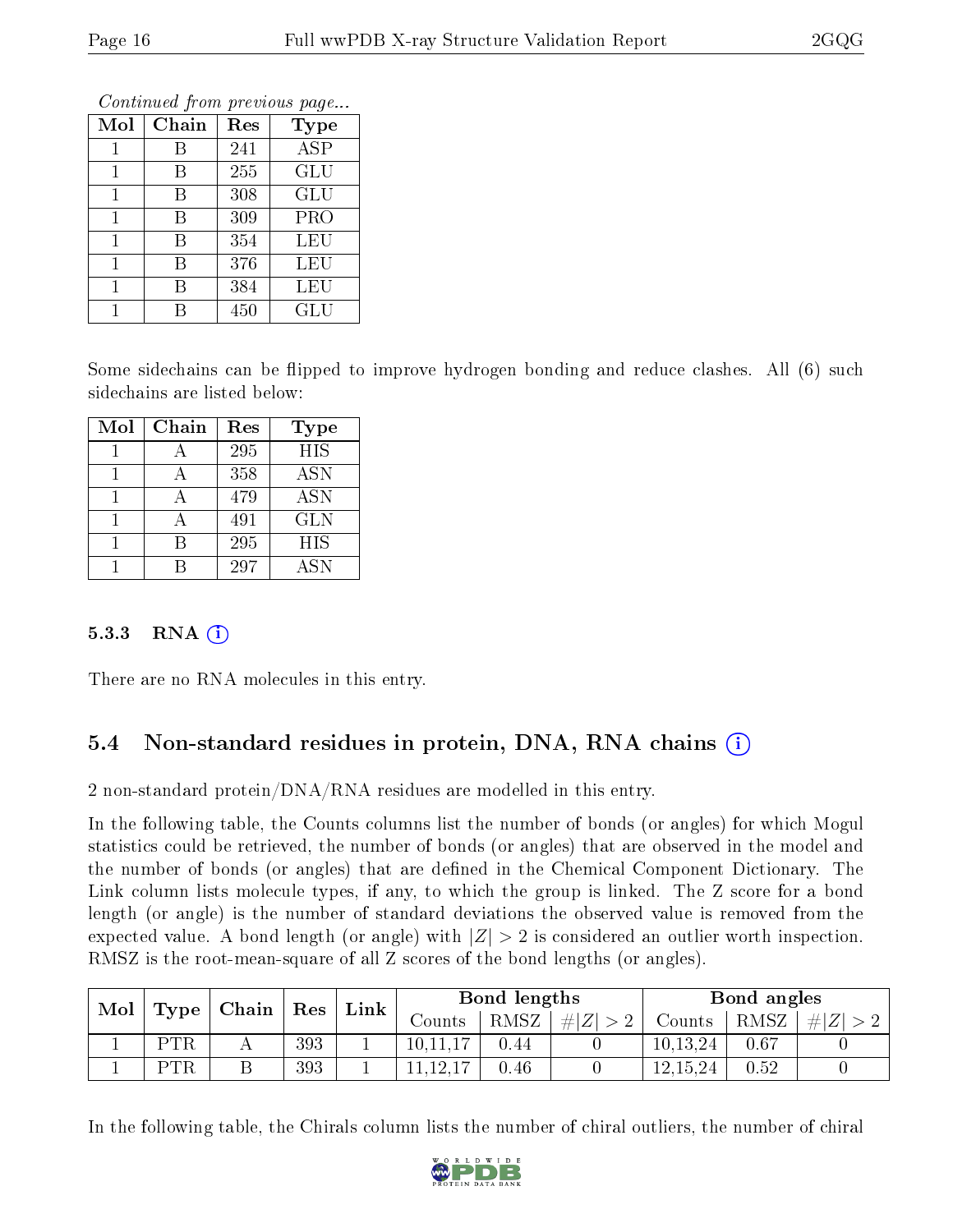|     |       |     | Continued from previous page |
|-----|-------|-----|------------------------------|
| Mol | Chain | Res | <b>Type</b>                  |
|     | R     | 241 | <b>ASP</b>                   |
|     | В     | 255 | <b>GLU</b>                   |
|     | В     | 308 | <b>GLU</b>                   |
|     | B     | 309 | <b>PRO</b>                   |
|     | В     | 354 | LEU                          |
|     |       | 376 | LEU                          |

1 B 384 LEU 1 B 450 GLU

Continued from previous page

Some sidechains can be flipped to improve hydrogen bonding and reduce clashes. All (6) such sidechains are listed below:

| Mol | Chain | Res | <b>Type</b> |
|-----|-------|-----|-------------|
|     |       | 295 | <b>HIS</b>  |
|     |       | 358 | <b>ASN</b>  |
|     |       | 479 | <b>ASN</b>  |
|     |       | 491 | <b>GLN</b>  |
|     |       | 295 | HIS         |
|     |       | 297 | <b>ASN</b>  |

#### 5.3.3 RNA  $(i)$

There are no RNA molecules in this entry.

### 5.4 Non-standard residues in protein, DNA, RNA chains (i)

2 non-standard protein/DNA/RNA residues are modelled in this entry.

In the following table, the Counts columns list the number of bonds (or angles) for which Mogul statistics could be retrieved, the number of bonds (or angles) that are observed in the model and the number of bonds (or angles) that are defined in the Chemical Component Dictionary. The Link column lists molecule types, if any, to which the group is linked. The Z score for a bond length (or angle) is the number of standard deviations the observed value is removed from the expected value. A bond length (or angle) with  $|Z| > 2$  is considered an outlier worth inspection. RMSZ is the root-mean-square of all Z scores of the bond lengths (or angles).

| Mol |                           |  |     | Link    | Bond lengths |         |        | Bond angles |      |  |
|-----|---------------------------|--|-----|---------|--------------|---------|--------|-------------|------|--|
|     | $ $ Chain $ $ Res<br>Type |  |     | Counts: | RMSZ         | Z <br># | Counts | RMSZ        | H Z  |  |
|     | <b>PTR</b>                |  | 393 |         | 10,11,17     | 0.44    |        | 10.13.24    | 0.67 |  |
|     | <b>PTR</b>                |  | 393 |         | 1,12,        | 0.46    |        | 12,15,24    | 0.52 |  |

In the following table, the Chirals column lists the number of chiral outliers, the number of chiral

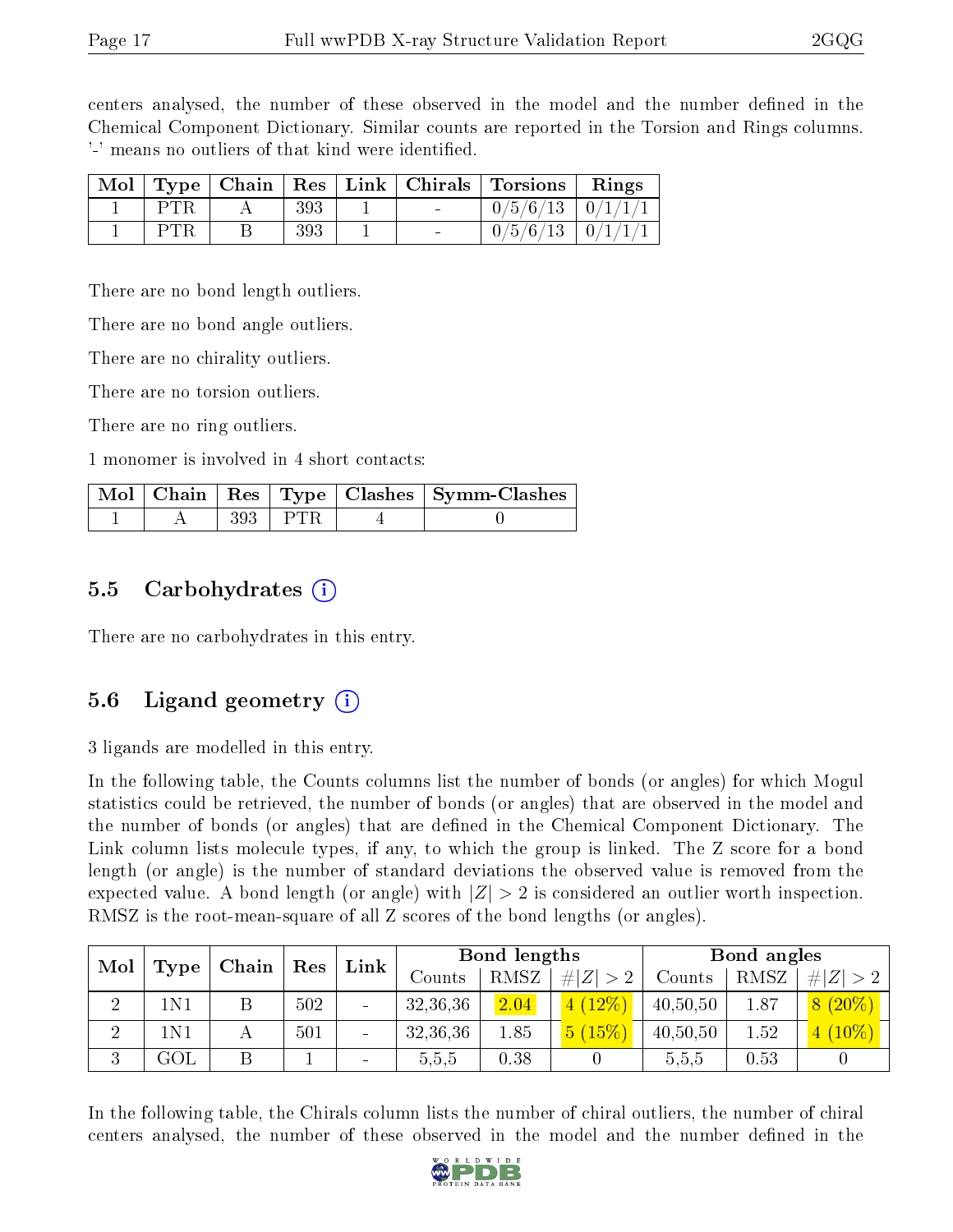centers analysed, the number of these observed in the model and the number defined in the Chemical Component Dictionary. Similar counts are reported in the Torsion and Rings columns. '-' means no outliers of that kind were identified.

|  |     |  | Mol   Type   Chain   Res   Link   Chirals   Torsions   Rings |  |
|--|-----|--|--------------------------------------------------------------|--|
|  | 393 |  | $0/5/6/13$   $0/1/1/1$                                       |  |
|  | 393 |  | $0/5/6/13$   $0/1/1/1$                                       |  |

There are no bond length outliers.

There are no bond angle outliers.

There are no chirality outliers.

There are no torsion outliers.

There are no ring outliers.

1 monomer is involved in 4 short contacts:

|  |           | Mol   Chain   Res   Type   Clashes   Symm-Clashes |
|--|-----------|---------------------------------------------------|
|  | $393$ PTR |                                                   |

#### 5.5 Carbohydrates  $(i)$

There are no carbohydrates in this entry.

### 5.6 Ligand geometry  $(i)$

3 ligands are modelled in this entry.

In the following table, the Counts columns list the number of bonds (or angles) for which Mogul statistics could be retrieved, the number of bonds (or angles) that are observed in the model and the number of bonds (or angles) that are defined in the Chemical Component Dictionary. The Link column lists molecule types, if any, to which the group is linked. The Z score for a bond length (or angle) is the number of standard deviations the observed value is removed from the expected value. A bond length (or angle) with  $|Z| > 2$  is considered an outlier worth inspection. RMSZ is the root-mean-square of all Z scores of the bond lengths (or angles).

| Mol<br>Type | ∟Chain∣ | $\operatorname{Res}$ | Link |  | Bond lengths |             | Bond angles |          |      |               |
|-------------|---------|----------------------|------|--|--------------|-------------|-------------|----------|------|---------------|
|             |         |                      |      |  | Counts       | <b>RMSZ</b> | # $ Z  > 2$ | Counts   | RMSZ | # Z <br>$> 2$ |
| ച<br>↵      | 1N1     |                      | 502  |  | 32,36,36     | 2.04        | (12%)       | 40,50,50 | 1.87 | $8(20\%)$     |
| റ<br>∠      | 1N 1    |                      | 501  |  | 32,36,36     | 1.85        | 5(15%)      | 40,50,50 | 1.52 | $(10\%)$      |
| ച<br>Ő      | GOL     |                      |      |  | 5,5,5        | 0.38        |             | 5,5,5    | 0.53 |               |

In the following table, the Chirals column lists the number of chiral outliers, the number of chiral centers analysed, the number of these observed in the model and the number defined in the

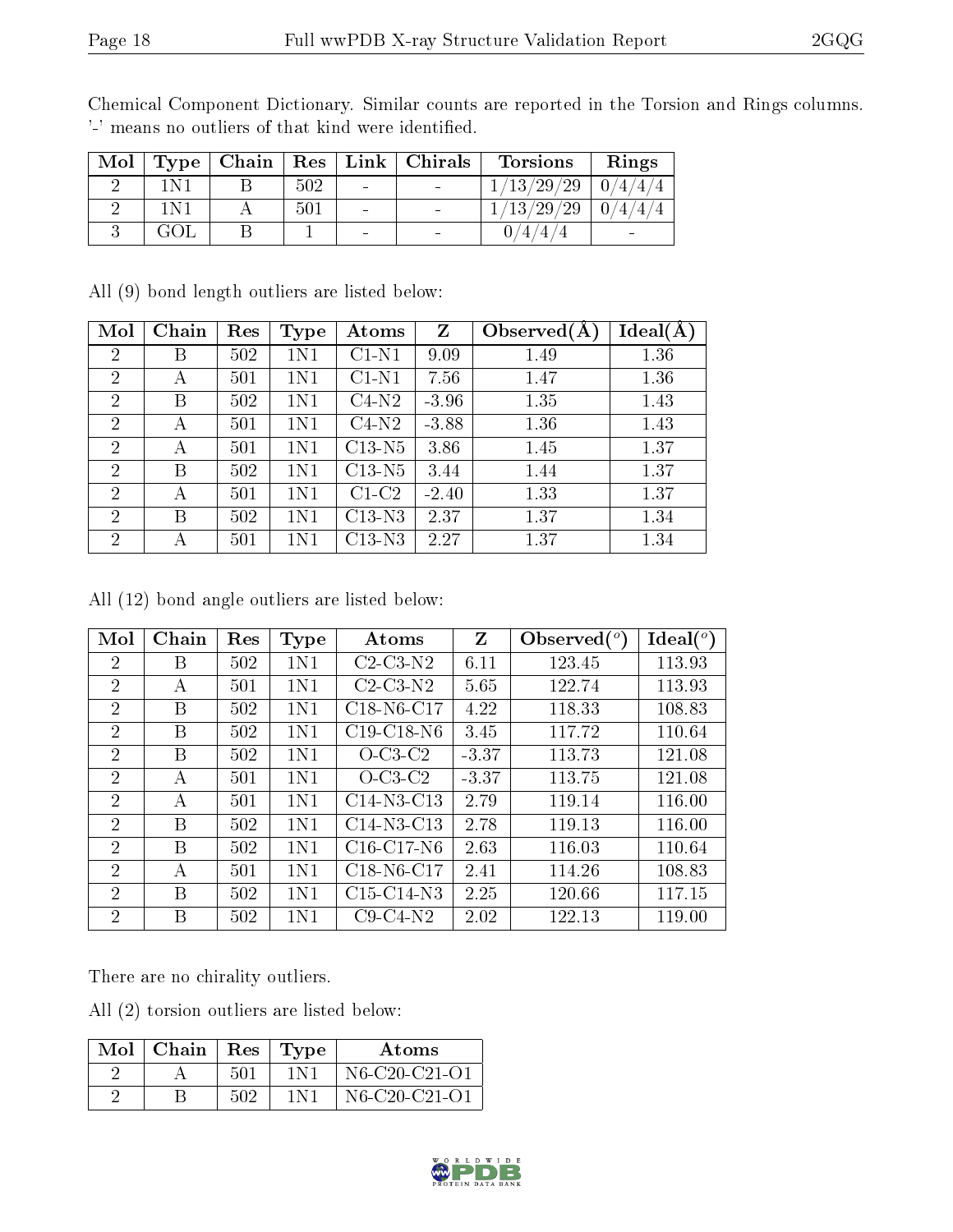| Mol | $\Gamma$ Type $^+$ |     |                          | $\mid$ Chain $\mid$ Res $\mid$ Link $\mid$ Chirals | Torsions                       | Rings |
|-----|--------------------|-----|--------------------------|----------------------------------------------------|--------------------------------|-------|
|     |                    | 502 | $\overline{\phantom{a}}$ | $\sim$ 100 $\mu$                                   | $^{\prime}29$<br>$^{\prime}29$ |       |
|     |                    | 501 | $\overline{\phantom{a}}$ |                                                    | 29<br>'29<br>13                |       |
|     |                    |     | $\overline{\phantom{a}}$ |                                                    |                                |       |

Chemical Component Dictionary. Similar counts are reported in the Torsion and Rings columns. '-' means no outliers of that kind were identified.

All (9) bond length outliers are listed below:

| Mol            | Chain | Res | <b>Type</b> | Atoms    | Z       | Observed $(A)$ | Ideal(A) |
|----------------|-------|-----|-------------|----------|---------|----------------|----------|
| $\overline{2}$ | Β     | 502 | 1N1         | $C1-N1$  | 9.09    | 1.49           | 1.36     |
| 2              | А     | 501 | 1N1         | $C1-N1$  | 7.56    | 1.47           | 1.36     |
| $\overline{2}$ | В     | 502 | 1N1         | $C4-N2$  | $-3.96$ | 1.35           | 1.43     |
| $\overline{2}$ | А     | 501 | 1N1         | $C4-N2$  | $-3.88$ | 1.36           | 1.43     |
| $\overline{2}$ | А     | 501 | 1N1         | $C13-N5$ | 3.86    | 1.45           | 1.37     |
| $\overline{2}$ | В     | 502 | 1N1         | $C13-N5$ | 3.44    | 1.44           | 1.37     |
| $\overline{2}$ | А     | 501 | 1N1         | $C1-C2$  | $-2.40$ | 1.33           | 1.37     |
| $\overline{2}$ | В     | 502 | 1N1         | $C13-N3$ | 2.37    | 1.37           | 1.34     |
| $\overline{2}$ | А     | 501 | 1N1         | $C13-N3$ | 2.27    | 1.37           | 1.34     |

All (12) bond angle outliers are listed below:

| Mol            | Chain | Res | Type | Atoms                               | Z       | Observed $({}^{\circ})$ | $\text{Ideal}({}^o)$ |
|----------------|-------|-----|------|-------------------------------------|---------|-------------------------|----------------------|
| $\overline{2}$ | В     | 502 | 1N1  | $C2-C3-N2$                          | 6.11    | 123.45                  | 113.93               |
| $\overline{2}$ | А     | 501 | 1N1  | $C2-C3-N2$                          | 5.65    | 122.74                  | 113.93               |
| $\overline{2}$ | B     | 502 | 1N1  | C18-N6-C17                          | 4.22    | 118.33                  | 108.83               |
| $\overline{2}$ | B     | 502 | 1N1  | $C19-C18-N6$                        | 3.45    | 117.72                  | 110.64               |
| $\overline{2}$ | B     | 502 | 1N1  | $O$ -C <sub>3</sub> -C <sub>2</sub> | $-3.37$ | 113.73                  | 121.08               |
| $\overline{2}$ | A     | 501 | 1N1  | $O$ -C <sub>3</sub> -C <sub>2</sub> | $-3.37$ | 113.75                  | 121.08               |
| $\overline{2}$ | А     | 501 | 1N1  | $C14-N3-C13$                        | 2.79    | 119.14                  | 116.00               |
| $\overline{2}$ | B     | 502 | 1N1  | $C14-N3-C13$                        | 2.78    | 119.13                  | 116.00               |
| $\overline{2}$ | В     | 502 | 1N1  | $C16-C17-N6$                        | 2.63    | 116.03                  | 110.64               |
| $\overline{2}$ | А     | 501 | 1N1  | C18-N6-C17                          | 2.41    | 114.26                  | 108.83               |
| $\overline{2}$ | B     | 502 | 1N1  | $C15-C14-N3$                        | 2.25    | 120.66                  | 117.15               |
| $\overline{2}$ | В     | 502 | 1N1  | $C9-C4-N2$                          | 2.02    | 122.13                  | 119.00               |

There are no chirality outliers.

All (2) torsion outliers are listed below:

| $Mol$   Chain |     | Res   Type | Atoms         |
|---------------|-----|------------|---------------|
|               | 501 | 1 N 1      | N6-C20-C21-O1 |
|               | 502 | 1 N 1      | N6-C20-C21-O1 |

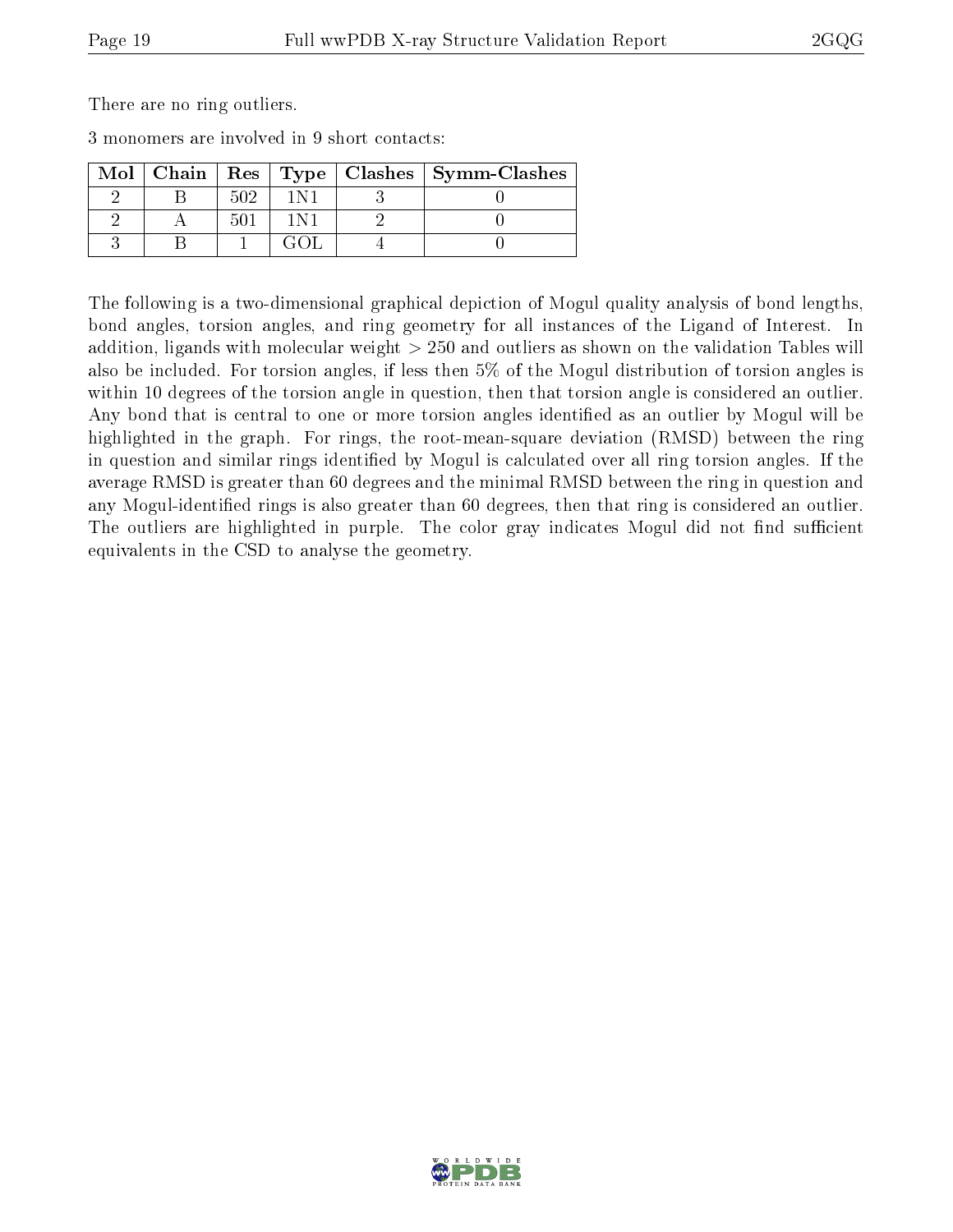There are no ring outliers.

3 monomers are involved in 9 short contacts:

| Mol |     |  | Chain   Res   Type   Clashes   Symm-Clashes |
|-----|-----|--|---------------------------------------------|
|     | 502 |  |                                             |
|     | 50. |  |                                             |
|     |     |  |                                             |

The following is a two-dimensional graphical depiction of Mogul quality analysis of bond lengths, bond angles, torsion angles, and ring geometry for all instances of the Ligand of Interest. In addition, ligands with molecular weight > 250 and outliers as shown on the validation Tables will also be included. For torsion angles, if less then 5% of the Mogul distribution of torsion angles is within 10 degrees of the torsion angle in question, then that torsion angle is considered an outlier. Any bond that is central to one or more torsion angles identified as an outlier by Mogul will be highlighted in the graph. For rings, the root-mean-square deviation (RMSD) between the ring in question and similar rings identified by Mogul is calculated over all ring torsion angles. If the average RMSD is greater than 60 degrees and the minimal RMSD between the ring in question and any Mogul-identified rings is also greater than 60 degrees, then that ring is considered an outlier. The outliers are highlighted in purple. The color gray indicates Mogul did not find sufficient equivalents in the CSD to analyse the geometry.

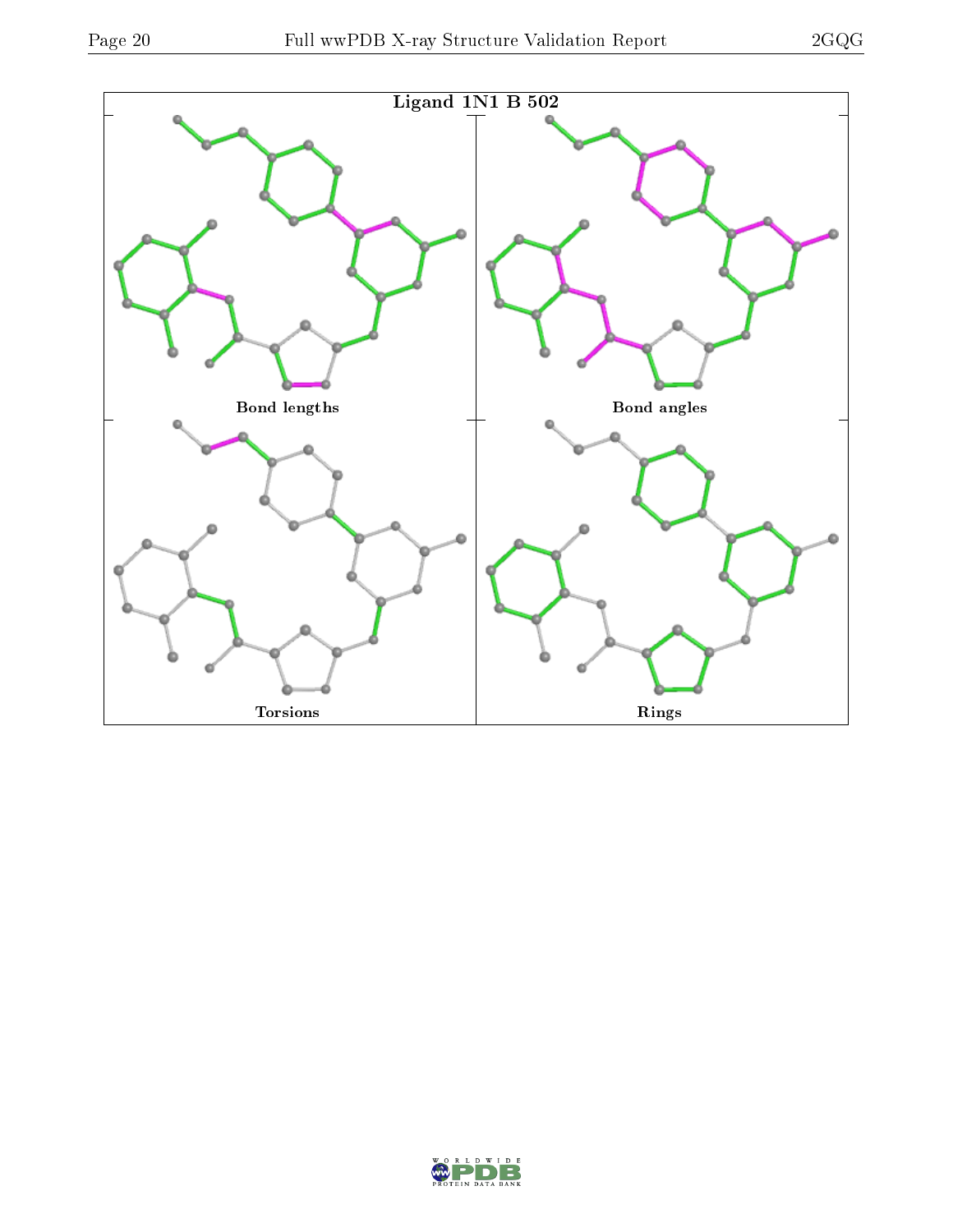

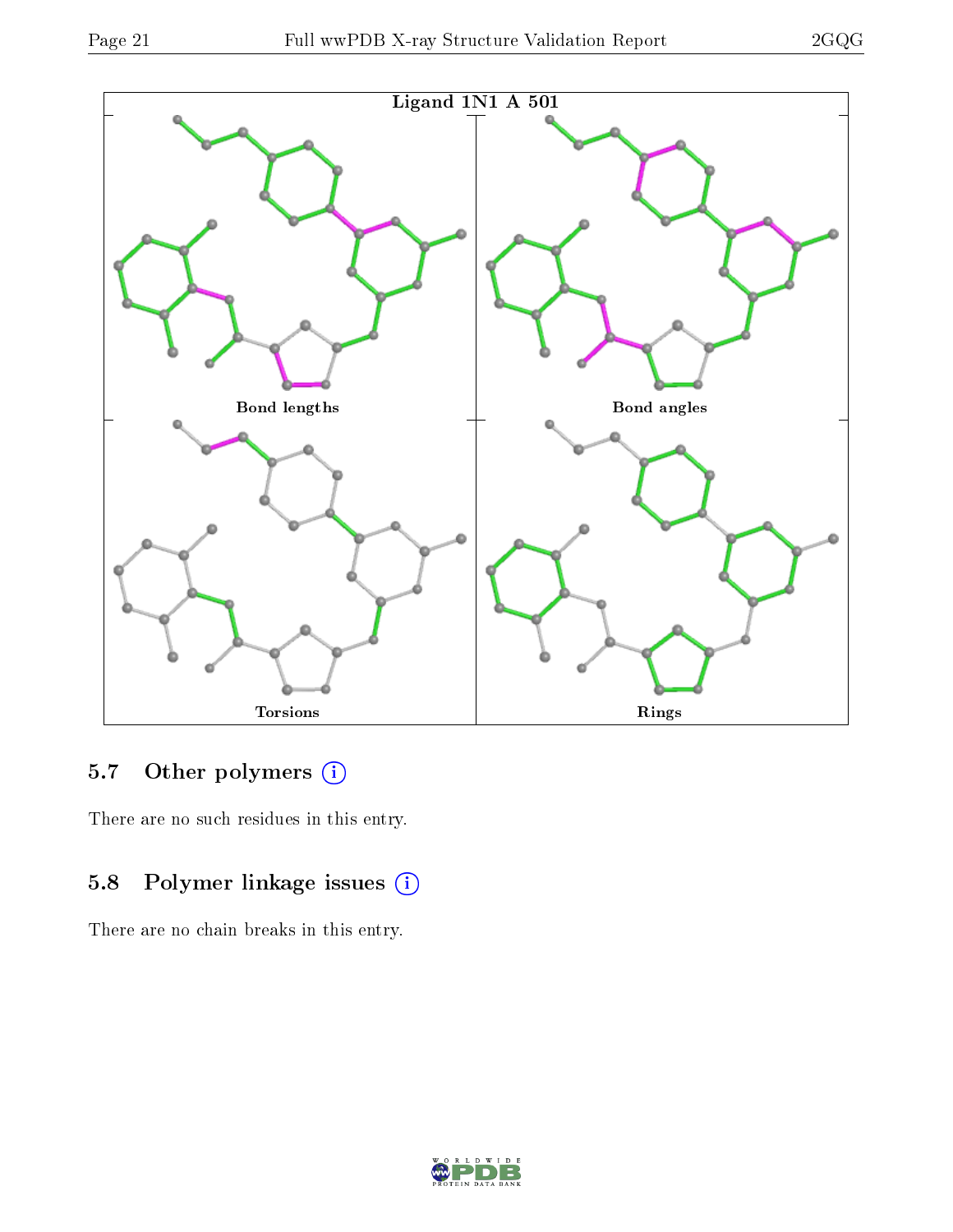

### 5.7 [O](https://www.wwpdb.org/validation/2017/XrayValidationReportHelp#nonstandard_residues_and_ligands)ther polymers (i)

There are no such residues in this entry.

### 5.8 Polymer linkage issues (i)

There are no chain breaks in this entry.

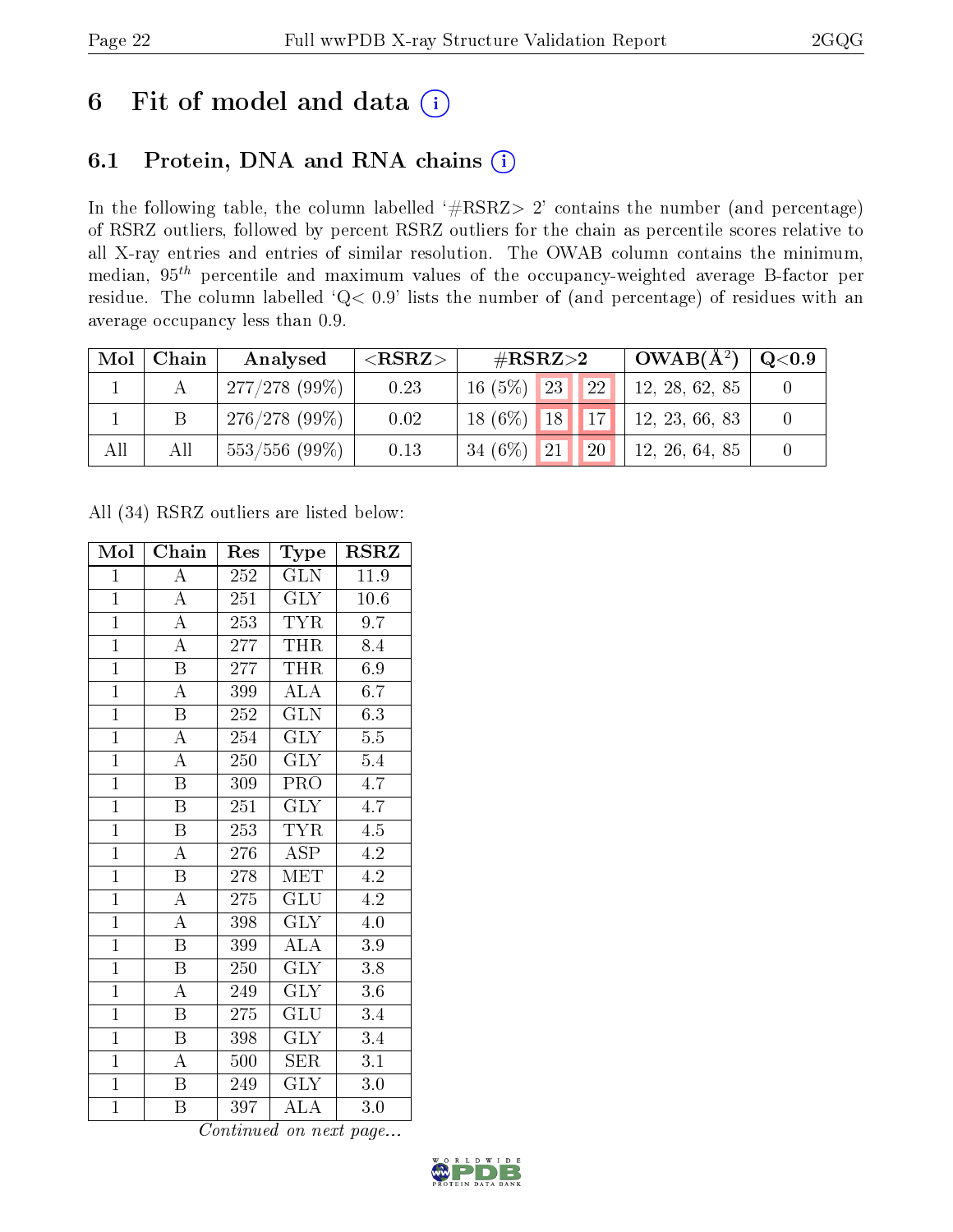## 6 Fit of model and data  $(i)$

### 6.1 Protein, DNA and RNA chains  $(i)$

In the following table, the column labelled  $#RSRZ> 2'$  contains the number (and percentage) of RSRZ outliers, followed by percent RSRZ outliers for the chain as percentile scores relative to all X-ray entries and entries of similar resolution. The OWAB column contains the minimum, median,  $95<sup>th</sup>$  percentile and maximum values of the occupancy-weighted average B-factor per residue. The column labelled ' $Q< 0.9$ ' lists the number of (and percentage) of residues with an average occupancy less than 0.9.

| Mol | Chain | Analysed        | ${ <\hspace{-1.5pt}{\mathrm{RSRZ}} \hspace{-1.5pt}>}$ | # $RSRZ>2$                     | $\sigma$ OWAB( $A^2$ ) | Q <sub>0.9</sub> |
|-----|-------|-----------------|-------------------------------------------------------|--------------------------------|------------------------|------------------|
|     |       | 277/278(99%)    | 0.23                                                  | $16(5\%)$ 23<br><b>22</b>      | 12, 28, 62, 85         |                  |
|     | Β     | 276/278(99%)    | 0.02                                                  | $18(6\%)$ 18 17                | 12, 23, 66, 83         |                  |
| All | All   | $553/556(99\%)$ | 0.13                                                  | 34 $(6%)$<br> 21 <br><b>20</b> | 12, 26, 64, 85         |                  |

All (34) RSRZ outliers are listed below:

| Mol            | Chain                   | Res     | Type                      | $\rm RSRZ$       |
|----------------|-------------------------|---------|---------------------------|------------------|
| $\mathbf{1}$   | Ā                       | 252     | GLN                       | 11.9             |
| $\mathbf{1}$   | $\boldsymbol{A}$        | 251     | <b>GLY</b>                | 10.6             |
| $\overline{1}$ | $\overline{\rm A}$      | 253     | <b>TYR</b>                | 9.7              |
| $\overline{1}$ | $\overline{\rm A}$      | 277     | <b>THR</b>                | 8.4              |
| $\overline{1}$ | $\overline{\mathrm{B}}$ | 277     | <b>THR</b>                | 6.9              |
| $\overline{1}$ | $\boldsymbol{A}$        | 399     | <b>ALA</b>                | 6.7              |
| $\overline{1}$ | $\overline{\mathrm{B}}$ | 252     | <b>GLN</b>                | 6.3              |
| $\overline{1}$ | $\overline{\rm A}$      | 254     | $\overline{\text{GLY}}$   | 5.5              |
| $\overline{1}$ | $\overline{\rm A}$      | 250     | <b>GLY</b>                | $5.4\,$          |
| $\overline{1}$ | $\overline{\mathrm{B}}$ | 309     | $\overline{\text{PRO}}$   | $\overline{4.7}$ |
| $\overline{1}$ | $\overline{\mathrm{B}}$ | 251     | <b>GLY</b>                | $4.\overline{7}$ |
| $\overline{1}$ | $\overline{\mathrm{B}}$ | 253     | <b>TYR</b>                | $4.\overline{5}$ |
| $\overline{1}$ | $\overline{\rm A}$      | 276     | $\overline{\text{ASP}}$   | 4.2              |
| $\mathbf{1}$   | $\overline{\mathrm{B}}$ | 278     | MET                       | 4.2              |
| $\overline{1}$ | $\overline{\rm A}$      | 275     | $\overline{\mathrm{GLU}}$ | 4.2              |
| $\overline{1}$ | $\overline{\rm A}$      | 398     | <b>GLY</b>                | 4.0              |
| $\overline{1}$ | $\overline{\mathrm{B}}$ | 399     | $\overline{\rm ALA}$      | $\overline{3.9}$ |
| $\mathbf{1}$   | $\boldsymbol{B}$        | 250     | <b>GLY</b>                | 3.8              |
| $\overline{1}$ | $\overline{\rm A}$      | 249     | $\overline{\text{GLY}}$   | 3.6              |
| $\overline{1}$ | Β                       | 275     | GLU                       | $\overline{3}.4$ |
| $\overline{1}$ | $\, {\bf B}$            | 398     | <b>GLY</b>                | 3.4              |
| $\overline{1}$ | A                       | 500     | SER                       | 3.1              |
| $\overline{1}$ | $\boldsymbol{B}$        | $249\,$ | <b>GLY</b>                | $3.0\,$          |
| $\overline{1}$ | B                       | 397     | $\overline{\rm ALA}$      | $3.0\,$          |

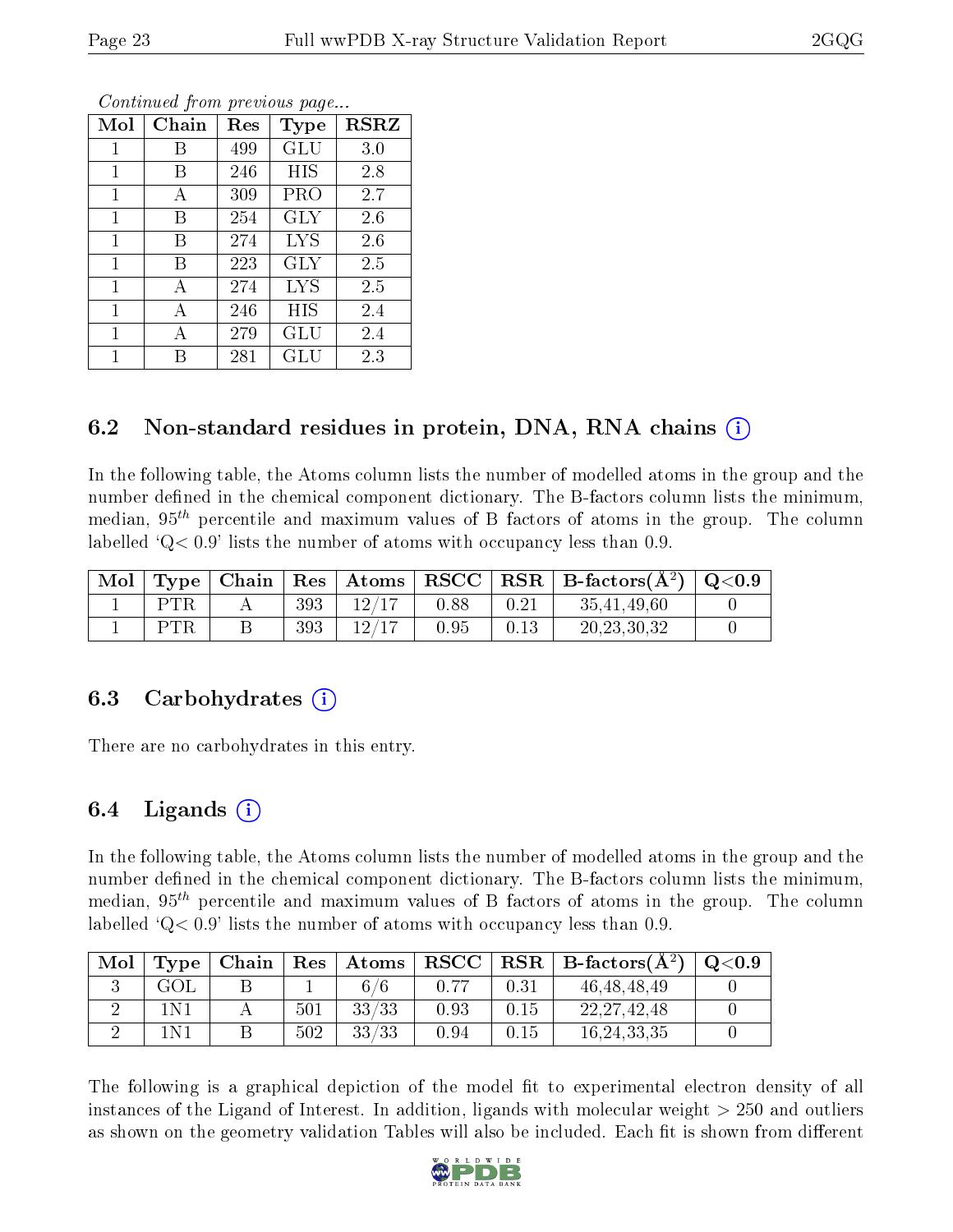| Mol          | Chain | Res | Type       | <b>RSRZ</b> |
|--------------|-------|-----|------------|-------------|
| 1            | В     | 499 | GLU        | 3.0         |
| $\mathbf{1}$ | В     | 246 | <b>HIS</b> | 2.8         |
| 1            | А     | 309 | PRO        | 2.7         |
| 1            | В     | 254 | <b>GLY</b> | 2.6         |
| 1            | В     | 274 | <b>LYS</b> | 2.6         |
| $\mathbf{1}$ | В     | 223 | <b>GLY</b> | 2.5         |
| $\mathbf{1}$ | А     | 274 | <b>LYS</b> | 2.5         |
| 1            | А     | 246 | HIS        | 2.4         |
| $\mathbf{1}$ | А     | 279 | GLU        | 2.4         |
| 1            | В     | 281 | GLU        | 2.3         |

Continued from previous page...

#### 6.2 Non-standard residues in protein, DNA, RNA chains (i)

In the following table, the Atoms column lists the number of modelled atoms in the group and the number defined in the chemical component dictionary. The B-factors column lists the minimum, median,  $95<sup>th</sup>$  percentile and maximum values of B factors of atoms in the group. The column labelled  $Q< 0.9$ ' lists the number of atoms with occupancy less than 0.9.

| $^{\shortmid}$ Mol | $\vert$ Type $\vert$ |     | $\mid$ Chain $\mid$ Res $\mid$ Atoms $\mid$ RSCC $\mid$ |      |      | $\parallel$ RSR $\parallel$ B-factors( $\rm \AA^2)$ $\parallel$ Q<0.9 |  |
|--------------------|----------------------|-----|---------------------------------------------------------|------|------|-----------------------------------------------------------------------|--|
|                    |                      | 393 | 12/17                                                   | 0.88 | 0.21 | 35.41.49.60                                                           |  |
|                    |                      | 393 | 12/17                                                   | 0.95 | 0.13 | 20, 23, 30, 32                                                        |  |

#### 6.3 Carbohydrates (i)

There are no carbohydrates in this entry.

#### $6.4$  Ligands  $(i)$

In the following table, the Atoms column lists the number of modelled atoms in the group and the number defined in the chemical component dictionary. The B-factors column lists the minimum, median,  $95<sup>th</sup>$  percentile and maximum values of B factors of atoms in the group. The column labelled  $Q< 0.9$  lists the number of atoms with occupancy less than 0.9.

| Mol | Type <sup>1</sup> |     | Chain   Res   Atoms | $\bf RSCC$ |      | $\mid$ RSR $\mid$ B-factors( $\rm \AA^2)$ ) | Q <sub>0.9</sub> |
|-----|-------------------|-----|---------------------|------------|------|---------------------------------------------|------------------|
|     | GOL               |     |                     |            | 0.31 | 46, 48, 48, 49                              |                  |
|     | 1 N 1             | 501 | 33/33               | 0.93       | 0.15 | 22, 27, 42, 48                              |                  |
|     | 1 N 1             | 502 | 33/33               | 0.94       | 0.15 | 16,24,33,35                                 |                  |

The following is a graphical depiction of the model fit to experimental electron density of all instances of the Ligand of Interest. In addition, ligands with molecular weight > 250 and outliers as shown on the geometry validation Tables will also be included. Each fit is shown from different

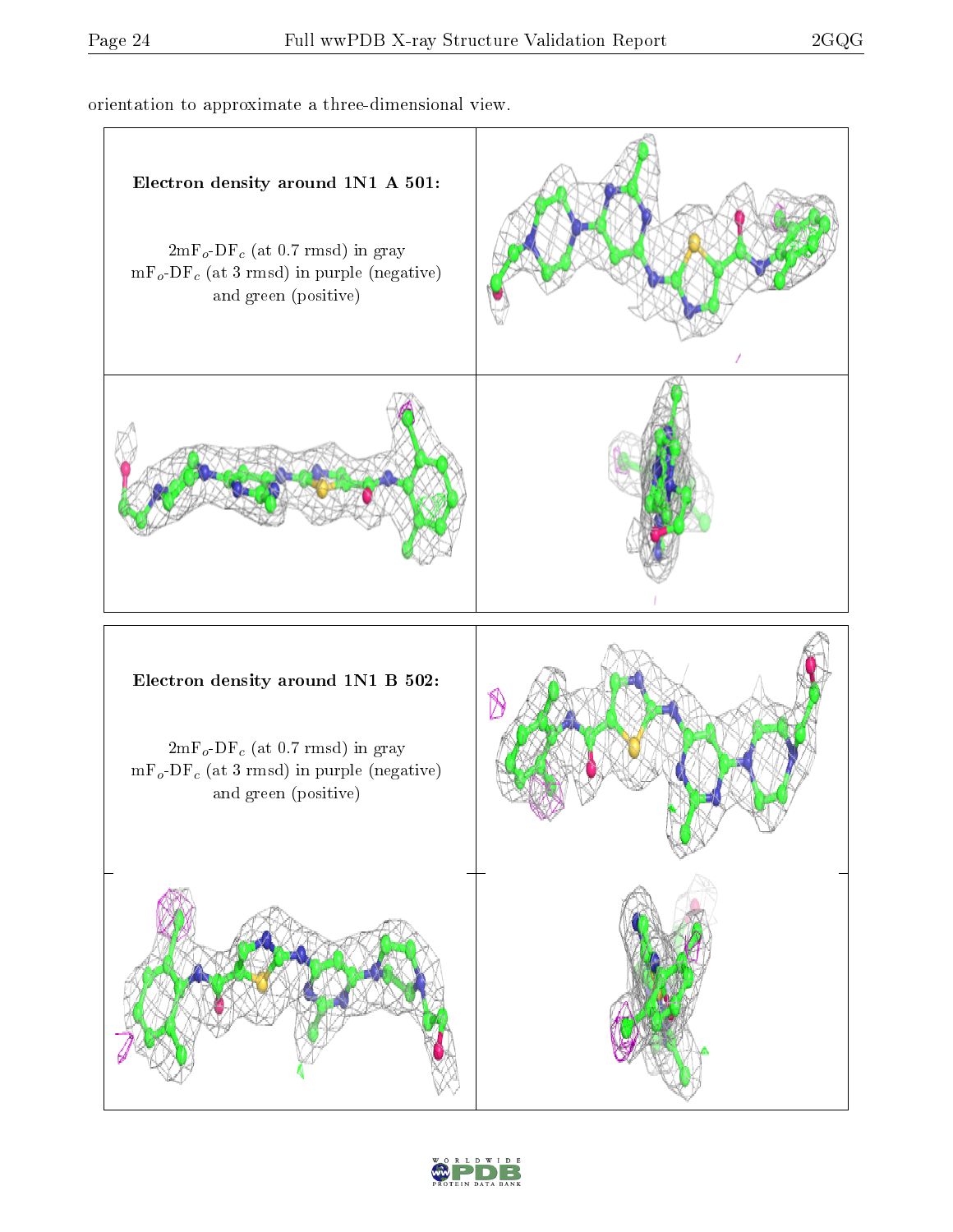orientation to approximate a three-dimensional view.